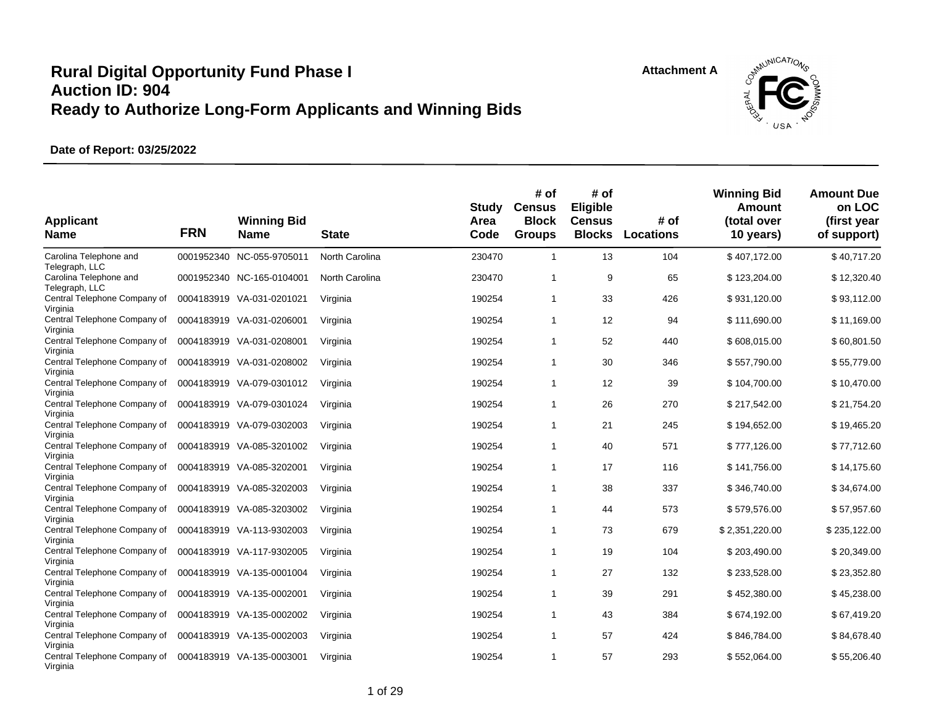



| <b>Applicant</b><br><b>Name</b>          | <b>FRN</b> | <b>Winning Bid</b><br><b>Name</b> | <b>State</b>   | <b>Study</b><br>Area<br>Code | # of<br><b>Census</b><br><b>Block</b><br><b>Groups</b> | # of<br>Eligible<br><b>Census</b><br><b>Blocks</b> | # of<br><b>Locations</b> | <b>Winning Bid</b><br><b>Amount</b><br>(total over<br>10 years) | <b>Amount Due</b><br>on LOC<br>(first year<br>of support) |
|------------------------------------------|------------|-----------------------------------|----------------|------------------------------|--------------------------------------------------------|----------------------------------------------------|--------------------------|-----------------------------------------------------------------|-----------------------------------------------------------|
| Carolina Telephone and<br>Telegraph, LLC | 0001952340 | NC-055-9705011                    | North Carolina | 230470                       | $\overline{1}$                                         | 13                                                 | 104                      | \$407,172.00                                                    | \$40,717.20                                               |
| Carolina Telephone and<br>Telegraph, LLC |            | 0001952340 NC-165-0104001         | North Carolina | 230470                       | $\overline{1}$                                         | 9                                                  | 65                       | \$123,204.00                                                    | \$12,320.40                                               |
| Central Telephone Company of<br>Virginia |            | 0004183919 VA-031-0201021         | Virginia       | 190254                       | $\overline{1}$                                         | 33                                                 | 426                      | \$931,120.00                                                    | \$93,112.00                                               |
| Central Telephone Company of<br>Virginia |            | 0004183919 VA-031-0206001         | Virginia       | 190254                       | $\overline{1}$                                         | 12                                                 | 94                       | \$111,690.00                                                    | \$11,169.00                                               |
| Central Telephone Company of<br>Virginia |            | 0004183919 VA-031-0208001         | Virginia       | 190254                       | $\mathbf 1$                                            | 52                                                 | 440                      | \$608,015.00                                                    | \$60,801.50                                               |
| Central Telephone Company of<br>Virginia |            | 0004183919 VA-031-0208002         | Virginia       | 190254                       | $\mathbf{1}$                                           | 30                                                 | 346                      | \$557,790.00                                                    | \$55,779.00                                               |
| Central Telephone Company of<br>Virginia | 0004183919 | VA-079-0301012                    | Virginia       | 190254                       | $\overline{1}$                                         | 12                                                 | 39                       | \$104,700.00                                                    | \$10,470.00                                               |
| Central Telephone Company of<br>Virginia |            | 0004183919 VA-079-0301024         | Virginia       | 190254                       | $\overline{1}$                                         | 26                                                 | 270                      | \$217,542.00                                                    | \$21,754.20                                               |
| Central Telephone Company of<br>Virginia |            | 0004183919 VA-079-0302003         | Virginia       | 190254                       | $\overline{1}$                                         | 21                                                 | 245                      | \$194,652.00                                                    | \$19,465.20                                               |
| Central Telephone Company of<br>Virginia |            | 0004183919 VA-085-3201002         | Virginia       | 190254                       | $\overline{1}$                                         | 40                                                 | 571                      | \$777,126.00                                                    | \$77,712.60                                               |
| Central Telephone Company of<br>Virginia | 0004183919 | VA-085-3202001                    | Virginia       | 190254                       | $\mathbf{1}$                                           | 17                                                 | 116                      | \$141,756.00                                                    | \$14,175.60                                               |
| Central Telephone Company of<br>Virginia | 0004183919 | VA-085-3202003                    | Virginia       | 190254                       | $\overline{1}$                                         | 38                                                 | 337                      | \$346,740.00                                                    | \$34,674.00                                               |
| Central Telephone Company of<br>Virginia | 0004183919 | VA-085-3203002                    | Virginia       | 190254                       | $\mathbf 1$                                            | 44                                                 | 573                      | \$579,576.00                                                    | \$57,957.60                                               |
| Central Telephone Company of<br>Virginia |            | 0004183919 VA-113-9302003         | Virginia       | 190254                       | $\overline{1}$                                         | 73                                                 | 679                      | \$2,351,220.00                                                  | \$235,122.00                                              |
| Central Telephone Company of<br>Virginia |            | 0004183919 VA-117-9302005         | Virginia       | 190254                       | $\overline{1}$                                         | 19                                                 | 104                      | \$203,490.00                                                    | \$20,349.00                                               |
| Central Telephone Company of<br>Virginia |            | 0004183919 VA-135-0001004         | Virginia       | 190254                       | $\overline{1}$                                         | 27                                                 | 132                      | \$233,528.00                                                    | \$23,352.80                                               |
| Central Telephone Company of<br>Virginia |            | 0004183919 VA-135-0002001         | Virginia       | 190254                       | $\overline{1}$                                         | 39                                                 | 291                      | \$452,380.00                                                    | \$45,238.00                                               |
| Central Telephone Company of<br>Virginia |            | 0004183919 VA-135-0002002         | Virginia       | 190254                       | $\overline{1}$                                         | 43                                                 | 384                      | \$674,192.00                                                    | \$67,419.20                                               |
| Central Telephone Company of<br>Virginia |            | 0004183919 VA-135-0002003         | Virginia       | 190254                       | $\overline{1}$                                         | 57                                                 | 424                      | \$846,784.00                                                    | \$84,678.40                                               |
| Central Telephone Company of<br>Virginia |            | 0004183919 VA-135-0003001         | Virginia       | 190254                       | $\overline{1}$                                         | 57                                                 | 293                      | \$552,064.00                                                    | \$55,206.40                                               |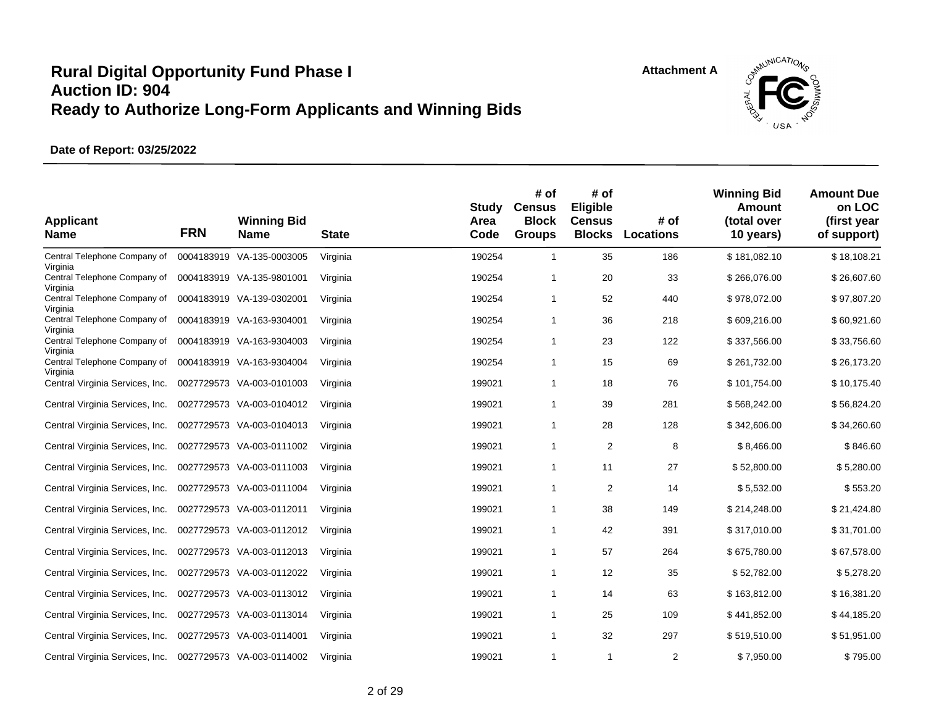



| <b>Applicant</b><br><b>Name</b>             | <b>FRN</b> | <b>Winning Bid</b><br><b>Name</b> | <b>State</b> | Study<br>Area<br>Code | # of<br><b>Census</b><br><b>Block</b><br><b>Groups</b> | # of<br>Eligible<br><b>Census</b><br><b>Blocks</b> | # of<br><b>Locations</b> | <b>Winning Bid</b><br>Amount<br>(total over<br>10 years) | <b>Amount Due</b><br>on LOC<br>(first year<br>of support) |
|---------------------------------------------|------------|-----------------------------------|--------------|-----------------------|--------------------------------------------------------|----------------------------------------------------|--------------------------|----------------------------------------------------------|-----------------------------------------------------------|
| Central Telephone Company of<br>Virginia    |            | 0004183919 VA-135-0003005         | Virginia     | 190254                | $\mathbf{1}$                                           | 35                                                 | 186                      | \$181,082.10                                             | \$18,108.21                                               |
| Central Telephone Company of<br>Virginia    |            | 0004183919 VA-135-9801001         | Virginia     | 190254                | 1                                                      | 20                                                 | 33                       | \$266,076.00                                             | \$26,607.60                                               |
| Central Telephone Company of<br>Virginia    |            | 0004183919 VA-139-0302001         | Virginia     | 190254                | 1                                                      | 52                                                 | 440                      | \$978,072.00                                             | \$97,807.20                                               |
| Central Telephone Company of                |            | 0004183919 VA-163-9304001         | Virginia     | 190254                | 1                                                      | 36                                                 | 218                      | \$609,216.00                                             | \$60,921.60                                               |
| Virginia<br>Central Telephone Company of    |            | 0004183919 VA-163-9304003         | Virginia     | 190254                | 1                                                      | 23                                                 | 122                      | \$337,566.00                                             | \$33,756.60                                               |
| Virginia<br>Central Telephone Company of    |            | 0004183919 VA-163-9304004         | Virginia     | 190254                | 1                                                      | 15                                                 | 69                       | \$261,732.00                                             | \$26,173.20                                               |
| Virginia<br>Central Virginia Services, Inc. |            | 0027729573 VA-003-0101003         | Virginia     | 199021                | 1                                                      | 18                                                 | 76                       | \$101,754.00                                             | \$10,175.40                                               |
| Central Virginia Services, Inc.             |            | 0027729573 VA-003-0104012         | Virginia     | 199021                | 1                                                      | 39                                                 | 281                      | \$568,242.00                                             | \$56,824.20                                               |
| Central Virginia Services, Inc.             | 0027729573 | VA-003-0104013                    | Virginia     | 199021                | $\mathbf{1}$                                           | 28                                                 | 128                      | \$342,606.00                                             | \$34,260.60                                               |
| Central Virginia Services, Inc.             |            | 0027729573 VA-003-0111002         | Virginia     | 199021                | 1                                                      | $\overline{2}$                                     | 8                        | \$8,466.00                                               | \$846.60                                                  |
| Central Virginia Services, Inc.             |            | 0027729573 VA-003-0111003         | Virginia     | 199021                | $\mathbf{1}$                                           | 11                                                 | 27                       | \$52,800.00                                              | \$5,280.00                                                |
| Central Virginia Services, Inc.             |            | 0027729573 VA-003-0111004         | Virginia     | 199021                | 1                                                      | $\overline{2}$                                     | 14                       | \$5,532.00                                               | \$553.20                                                  |
| Central Virginia Services, Inc.             |            | 0027729573 VA-003-0112011         | Virginia     | 199021                | $\mathbf{1}$                                           | 38                                                 | 149                      | \$214,248.00                                             | \$21,424.80                                               |
| Central Virginia Services, Inc.             |            | 0027729573 VA-003-0112012         | Virginia     | 199021                | 1                                                      | 42                                                 | 391                      | \$317,010.00                                             | \$31,701.00                                               |
| Central Virginia Services, Inc.             |            | 0027729573 VA-003-0112013         | Virginia     | 199021                | $\mathbf{1}$                                           | 57                                                 | 264                      | \$675,780.00                                             | \$67,578.00                                               |
| Central Virginia Services, Inc.             |            | 0027729573 VA-003-0112022         | Virginia     | 199021                | $\mathbf{1}$                                           | 12                                                 | 35                       | \$52,782.00                                              | \$5,278.20                                                |
| Central Virginia Services, Inc.             |            | 0027729573 VA-003-0113012         | Virginia     | 199021                | $\mathbf{1}$                                           | 14                                                 | 63                       | \$163,812.00                                             | \$16,381.20                                               |
| Central Virginia Services, Inc.             |            | 0027729573 VA-003-0113014         | Virginia     | 199021                | $\mathbf{1}$                                           | 25                                                 | 109                      | \$441,852.00                                             | \$44,185.20                                               |
| Central Virginia Services, Inc.             |            | 0027729573 VA-003-0114001         | Virginia     | 199021                | $\mathbf{1}$                                           | 32                                                 | 297                      | \$519,510.00                                             | \$51,951.00                                               |
| Central Virginia Services, Inc.             |            | 0027729573 VA-003-0114002         | Virginia     | 199021                | $\mathbf{1}$                                           | $\mathbf{1}$                                       | $\overline{2}$           | \$7,950.00                                               | \$795.00                                                  |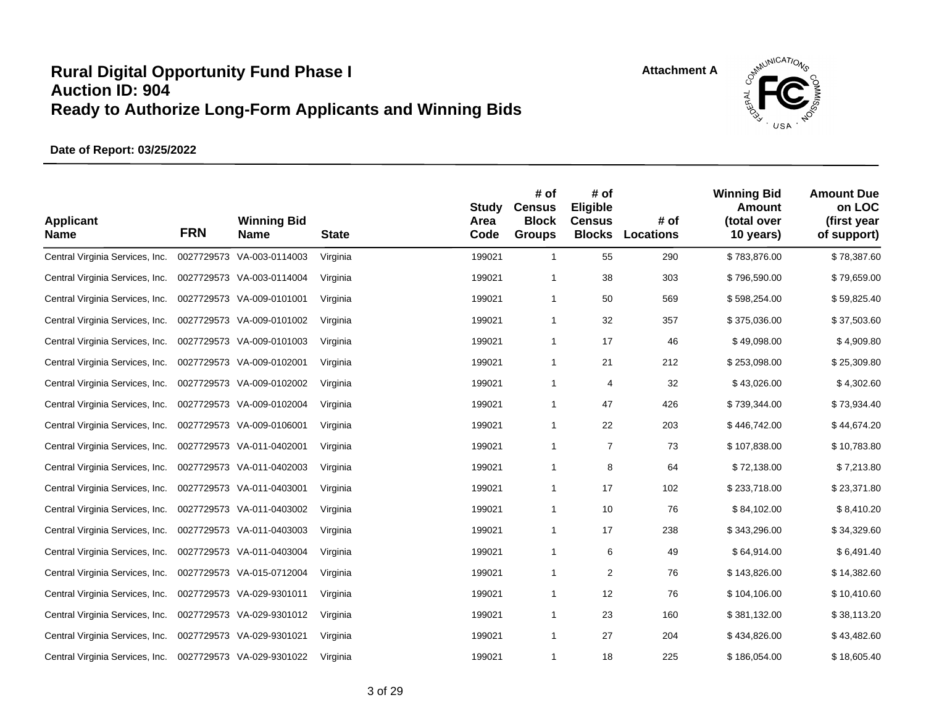

| <b>Applicant</b><br><b>Name</b> | <b>FRN</b> | <b>Winning Bid</b><br><b>Name</b> | <b>State</b> | <b>Study</b><br>Area<br>Code | # of<br><b>Census</b><br><b>Block</b><br><b>Groups</b> | # of<br>Eligible<br><b>Census</b><br><b>Blocks</b> | # of<br><b>Locations</b> | <b>Winning Bid</b><br><b>Amount</b><br>(total over<br>10 years) | <b>Amount Due</b><br>on LOC<br>(first year<br>of support) |
|---------------------------------|------------|-----------------------------------|--------------|------------------------------|--------------------------------------------------------|----------------------------------------------------|--------------------------|-----------------------------------------------------------------|-----------------------------------------------------------|
| Central Virginia Services, Inc. |            | 0027729573 VA-003-0114003         | Virginia     | 199021                       | $\mathbf{1}$                                           | 55                                                 | 290                      | \$783,876.00                                                    | \$78,387.60                                               |
| Central Virginia Services, Inc. |            | 0027729573 VA-003-0114004         | Virginia     | 199021                       | $\mathbf 1$                                            | 38                                                 | 303                      | \$796,590.00                                                    | \$79,659.00                                               |
| Central Virginia Services, Inc. |            | 0027729573 VA-009-0101001         | Virginia     | 199021                       | -1                                                     | 50                                                 | 569                      | \$598,254.00                                                    | \$59,825.40                                               |
| Central Virginia Services, Inc. |            | 0027729573 VA-009-0101002         | Virginia     | 199021                       | $\mathbf{1}$                                           | 32                                                 | 357                      | \$375,036.00                                                    | \$37,503.60                                               |
| Central Virginia Services, Inc. |            | 0027729573 VA-009-0101003         | Virginia     | 199021                       | -1                                                     | 17                                                 | 46                       | \$49,098.00                                                     | \$4,909.80                                                |
| Central Virginia Services, Inc. |            | 0027729573 VA-009-0102001         | Virginia     | 199021                       | -1                                                     | 21                                                 | 212                      | \$253,098.00                                                    | \$25,309.80                                               |
| Central Virginia Services, Inc. |            | 0027729573 VA-009-0102002         | Virginia     | 199021                       | $\mathbf 1$                                            | $\overline{4}$                                     | 32                       | \$43,026.00                                                     | \$4,302.60                                                |
| Central Virginia Services, Inc. |            | 0027729573 VA-009-0102004         | Virginia     | 199021                       | -1                                                     | 47                                                 | 426                      | \$739,344.00                                                    | \$73,934.40                                               |
| Central Virginia Services, Inc. |            | 0027729573 VA-009-0106001         | Virginia     | 199021                       | $\mathbf{1}$                                           | 22                                                 | 203                      | \$446,742.00                                                    | \$44,674.20                                               |
| Central Virginia Services, Inc. |            | 0027729573 VA-011-0402001         | Virginia     | 199021                       | -1                                                     | $\overline{7}$                                     | 73                       | \$107,838.00                                                    | \$10,783.80                                               |
| Central Virginia Services, Inc. |            | 0027729573 VA-011-0402003         | Virginia     | 199021                       | -1                                                     | 8                                                  | 64                       | \$72,138.00                                                     | \$7,213.80                                                |
| Central Virginia Services, Inc. |            | 0027729573 VA-011-0403001         | Virginia     | 199021                       | $\mathbf{1}$                                           | 17                                                 | 102                      | \$233,718.00                                                    | \$23,371.80                                               |
| Central Virginia Services, Inc. |            | 0027729573 VA-011-0403002         | Virginia     | 199021                       | $\mathbf{1}$                                           | 10                                                 | 76                       | \$84,102.00                                                     | \$8,410.20                                                |
| Central Virginia Services, Inc. |            | 0027729573 VA-011-0403003         | Virginia     | 199021                       | $\mathbf{1}$                                           | 17                                                 | 238                      | \$343,296.00                                                    | \$34,329.60                                               |
| Central Virginia Services, Inc. |            | 0027729573 VA-011-0403004         | Virginia     | 199021                       | $\mathbf 1$                                            | 6                                                  | 49                       | \$64,914.00                                                     | \$6,491.40                                                |
| Central Virginia Services, Inc. |            | 0027729573 VA-015-0712004         | Virginia     | 199021                       | $\mathbf{1}$                                           | 2                                                  | 76                       | \$143,826.00                                                    | \$14,382.60                                               |
| Central Virginia Services, Inc. |            | 0027729573 VA-029-9301011         | Virginia     | 199021                       | $\mathbf{1}$                                           | 12                                                 | 76                       | \$104,106.00                                                    | \$10,410.60                                               |
| Central Virginia Services, Inc. |            | 0027729573 VA-029-9301012         | Virginia     | 199021                       | $\mathbf{1}$                                           | 23                                                 | 160                      | \$381,132.00                                                    | \$38,113.20                                               |
| Central Virginia Services, Inc. |            | 0027729573 VA-029-9301021         | Virginia     | 199021                       | $\mathbf 1$                                            | 27                                                 | 204                      | \$434,826.00                                                    | \$43,482.60                                               |
| Central Virginia Services, Inc. |            | 0027729573 VA-029-9301022         | Virginia     | 199021                       | $\mathbf{1}$                                           | 18                                                 | 225                      | \$186,054.00                                                    | \$18,605.40                                               |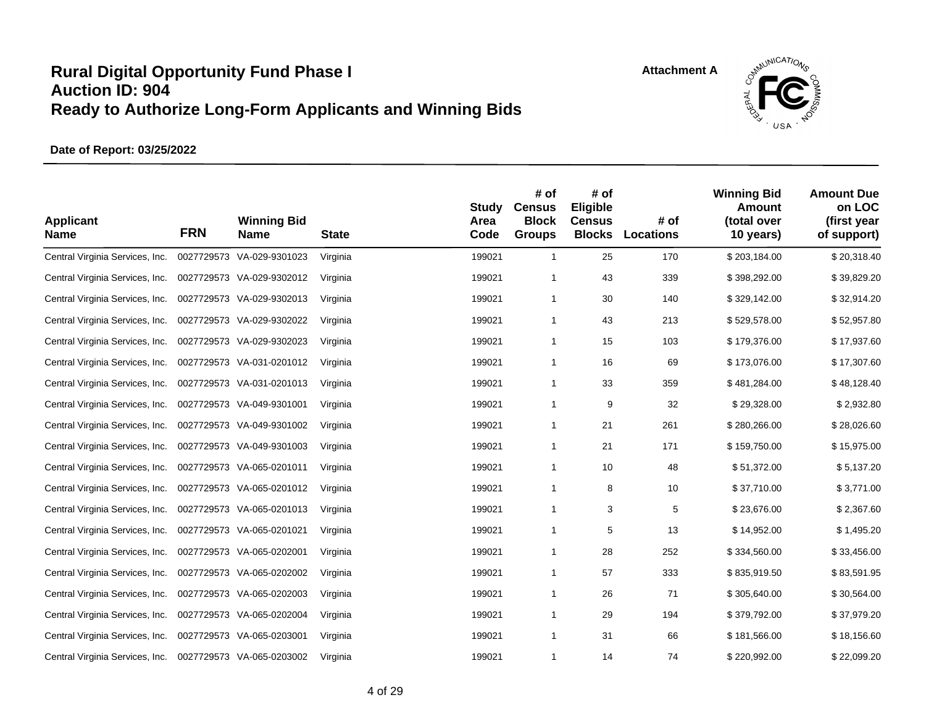

| <b>Applicant</b><br><b>Name</b> | <b>FRN</b> | <b>Winning Bid</b><br>Name | <b>State</b> | <b>Study</b><br>Area<br>Code | # of<br><b>Census</b><br><b>Block</b><br><b>Groups</b> | # of<br>Eligible<br><b>Census</b><br><b>Blocks</b> | # of<br><b>Locations</b> | <b>Winning Bid</b><br>Amount<br>(total over<br>10 years) | <b>Amount Due</b><br>on LOC<br>(first year<br>of support) |
|---------------------------------|------------|----------------------------|--------------|------------------------------|--------------------------------------------------------|----------------------------------------------------|--------------------------|----------------------------------------------------------|-----------------------------------------------------------|
| Central Virginia Services, Inc. |            | 0027729573 VA-029-9301023  | Virginia     | 199021                       | $\mathbf{1}$                                           | 25                                                 | 170                      | \$203,184.00                                             | \$20,318.40                                               |
| Central Virginia Services, Inc. |            | 0027729573 VA-029-9302012  | Virginia     | 199021                       | 1                                                      | 43                                                 | 339                      | \$398,292.00                                             | \$39,829.20                                               |
| Central Virginia Services, Inc. |            | 0027729573 VA-029-9302013  | Virginia     | 199021                       | 1                                                      | 30                                                 | 140                      | \$329,142.00                                             | \$32,914.20                                               |
| Central Virginia Services, Inc. |            | 0027729573 VA-029-9302022  | Virginia     | 199021                       | $\mathbf{1}$                                           | 43                                                 | 213                      | \$529,578.00                                             | \$52,957.80                                               |
| Central Virginia Services, Inc. |            | 0027729573 VA-029-9302023  | Virginia     | 199021                       | 1                                                      | 15                                                 | 103                      | \$179,376.00                                             | \$17,937.60                                               |
| Central Virginia Services, Inc. |            | 0027729573 VA-031-0201012  | Virginia     | 199021                       | 1                                                      | 16                                                 | 69                       | \$173,076.00                                             | \$17,307.60                                               |
| Central Virginia Services, Inc. |            | 0027729573 VA-031-0201013  | Virginia     | 199021                       | 1                                                      | 33                                                 | 359                      | \$481,284.00                                             | \$48,128.40                                               |
| Central Virginia Services, Inc. |            | 0027729573 VA-049-9301001  | Virginia     | 199021                       | 1                                                      | 9                                                  | 32                       | \$29,328.00                                              | \$2,932.80                                                |
| Central Virginia Services, Inc. |            | 0027729573 VA-049-9301002  | Virginia     | 199021                       | 1                                                      | 21                                                 | 261                      | \$280,266.00                                             | \$28,026.60                                               |
| Central Virginia Services, Inc. |            | 0027729573 VA-049-9301003  | Virginia     | 199021                       | 1                                                      | 21                                                 | 171                      | \$159,750.00                                             | \$15,975.00                                               |
| Central Virginia Services, Inc. |            | 0027729573 VA-065-0201011  | Virginia     | 199021                       | 1                                                      | 10                                                 | 48                       | \$51,372.00                                              | \$5,137.20                                                |
| Central Virginia Services, Inc. |            | 0027729573 VA-065-0201012  | Virginia     | 199021                       | 1                                                      | 8                                                  | 10                       | \$37,710.00                                              | \$3,771.00                                                |
| Central Virginia Services, Inc. |            | 0027729573 VA-065-0201013  | Virginia     | 199021                       | 1                                                      | 3                                                  | 5                        | \$23,676.00                                              | \$2,367.60                                                |
| Central Virginia Services, Inc. |            | 0027729573 VA-065-0201021  | Virginia     | 199021                       | 1                                                      | 5                                                  | 13                       | \$14,952.00                                              | \$1,495.20                                                |
| Central Virginia Services, Inc. |            | 0027729573 VA-065-0202001  | Virginia     | 199021                       | 1                                                      | 28                                                 | 252                      | \$334,560.00                                             | \$33,456.00                                               |
| Central Virginia Services, Inc. |            | 0027729573 VA-065-0202002  | Virginia     | 199021                       | 1                                                      | 57                                                 | 333                      | \$835,919.50                                             | \$83,591.95                                               |
| Central Virginia Services, Inc. |            | 0027729573 VA-065-0202003  | Virginia     | 199021                       | 1                                                      | 26                                                 | 71                       | \$305,640.00                                             | \$30,564.00                                               |
| Central Virginia Services, Inc. |            | 0027729573 VA-065-0202004  | Virginia     | 199021                       | 1                                                      | 29                                                 | 194                      | \$379,792.00                                             | \$37,979.20                                               |
| Central Virginia Services, Inc. |            | 0027729573 VA-065-0203001  | Virginia     | 199021                       | 1                                                      | 31                                                 | 66                       | \$181,566.00                                             | \$18,156.60                                               |
| Central Virginia Services, Inc. |            | 0027729573 VA-065-0203002  | Virginia     | 199021                       | 1                                                      | 14                                                 | 74                       | \$220,992.00                                             | \$22,099.20                                               |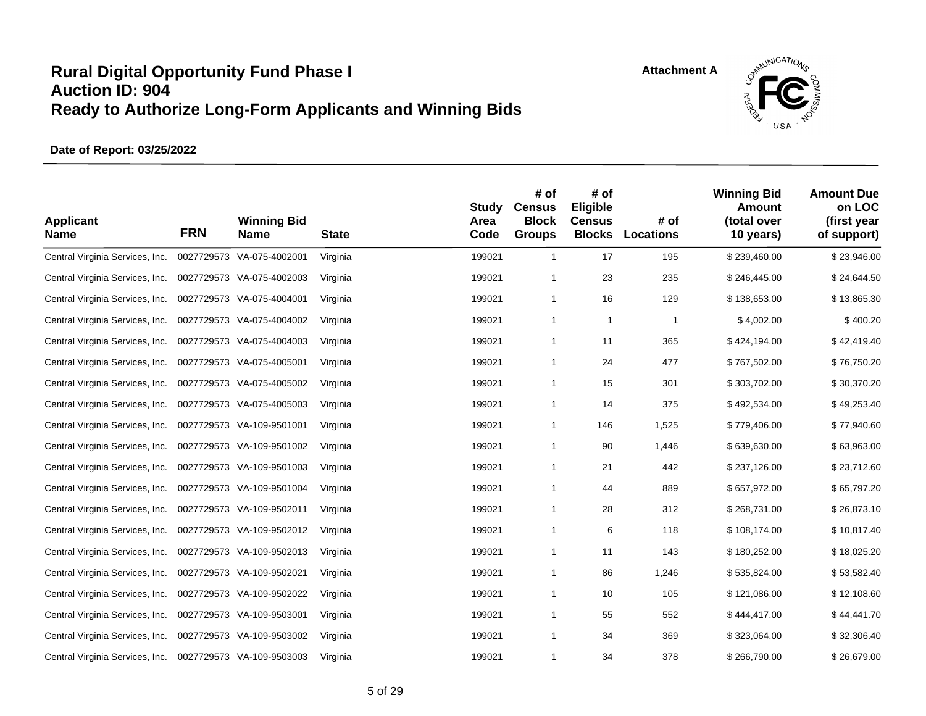

| <b>Applicant</b><br><b>Name</b> | <b>FRN</b> | <b>Winning Bid</b><br>Name | <b>State</b> | <b>Study</b><br>Area<br>Code | # of<br><b>Census</b><br><b>Block</b><br><b>Groups</b> | # of<br>Eligible<br><b>Census</b><br><b>Blocks</b> | # of<br><b>Locations</b> | <b>Winning Bid</b><br><b>Amount</b><br>(total over<br>10 years) | <b>Amount Due</b><br>on LOC<br>(first year<br>of support) |
|---------------------------------|------------|----------------------------|--------------|------------------------------|--------------------------------------------------------|----------------------------------------------------|--------------------------|-----------------------------------------------------------------|-----------------------------------------------------------|
| Central Virginia Services, Inc. |            | 0027729573 VA-075-4002001  | Virginia     | 199021                       | $\mathbf{1}$                                           | 17                                                 | 195                      | \$239,460.00                                                    | \$23,946.00                                               |
| Central Virginia Services, Inc. |            | 0027729573 VA-075-4002003  | Virginia     | 199021                       | 1                                                      | 23                                                 | 235                      | \$246,445.00                                                    | \$24,644.50                                               |
| Central Virginia Services, Inc. |            | 0027729573 VA-075-4004001  | Virginia     | 199021                       | 1                                                      | 16                                                 | 129                      | \$138,653.00                                                    | \$13,865.30                                               |
| Central Virginia Services, Inc. |            | 0027729573 VA-075-4004002  | Virginia     | 199021                       | 1                                                      | $\mathbf{1}$                                       | $\mathbf{1}$             | \$4,002.00                                                      | \$400.20                                                  |
| Central Virginia Services, Inc. |            | 0027729573 VA-075-4004003  | Virginia     | 199021                       | $\mathbf{1}$                                           | 11                                                 | 365                      | \$424,194.00                                                    | \$42,419.40                                               |
| Central Virginia Services, Inc. |            | 0027729573 VA-075-4005001  | Virginia     | 199021                       | 1                                                      | 24                                                 | 477                      | \$767,502.00                                                    | \$76,750.20                                               |
| Central Virginia Services, Inc. |            | 0027729573 VA-075-4005002  | Virginia     | 199021                       | 1                                                      | 15                                                 | 301                      | \$303,702.00                                                    | \$30,370.20                                               |
| Central Virginia Services, Inc. |            | 0027729573 VA-075-4005003  | Virginia     | 199021                       | $\mathbf{1}$                                           | 14                                                 | 375                      | \$492,534.00                                                    | \$49,253.40                                               |
| Central Virginia Services, Inc. |            | 0027729573 VA-109-9501001  | Virginia     | 199021                       | $\mathbf{1}$                                           | 146                                                | 1,525                    | \$779,406.00                                                    | \$77,940.60                                               |
| Central Virginia Services, Inc. |            | 0027729573 VA-109-9501002  | Virginia     | 199021                       | $\mathbf{1}$                                           | 90                                                 | 1,446                    | \$639,630.00                                                    | \$63,963.00                                               |
| Central Virginia Services, Inc. |            | 0027729573 VA-109-9501003  | Virginia     | 199021                       | 1                                                      | 21                                                 | 442                      | \$237,126.00                                                    | \$23,712.60                                               |
| Central Virginia Services, Inc. |            | 0027729573 VA-109-9501004  | Virginia     | 199021                       | $\mathbf{1}$                                           | 44                                                 | 889                      | \$657,972.00                                                    | \$65,797.20                                               |
| Central Virginia Services, Inc. |            | 0027729573 VA-109-9502011  | Virginia     | 199021                       | 1                                                      | 28                                                 | 312                      | \$268,731.00                                                    | \$26,873.10                                               |
| Central Virginia Services, Inc. |            | 0027729573 VA-109-9502012  | Virginia     | 199021                       | 1                                                      | 6                                                  | 118                      | \$108,174.00                                                    | \$10,817.40                                               |
| Central Virginia Services, Inc. |            | 0027729573 VA-109-9502013  | Virginia     | 199021                       | 1                                                      | 11                                                 | 143                      | \$180,252.00                                                    | \$18,025.20                                               |
| Central Virginia Services, Inc. |            | 0027729573 VA-109-9502021  | Virginia     | 199021                       | 1                                                      | 86                                                 | 1,246                    | \$535,824.00                                                    | \$53,582.40                                               |
| Central Virginia Services, Inc. |            | 0027729573 VA-109-9502022  | Virginia     | 199021                       | 1                                                      | 10                                                 | 105                      | \$121,086.00                                                    | \$12,108.60                                               |
| Central Virginia Services, Inc. |            | 0027729573 VA-109-9503001  | Virginia     | 199021                       | 1                                                      | 55                                                 | 552                      | \$444,417.00                                                    | \$44,441.70                                               |
| Central Virginia Services, Inc. |            | 0027729573 VA-109-9503002  | Virginia     | 199021                       | 1                                                      | 34                                                 | 369                      | \$323,064.00                                                    | \$32,306.40                                               |
| Central Virginia Services, Inc. |            | 0027729573 VA-109-9503003  | Virginia     | 199021                       | 1                                                      | 34                                                 | 378                      | \$266,790.00                                                    | \$26,679.00                                               |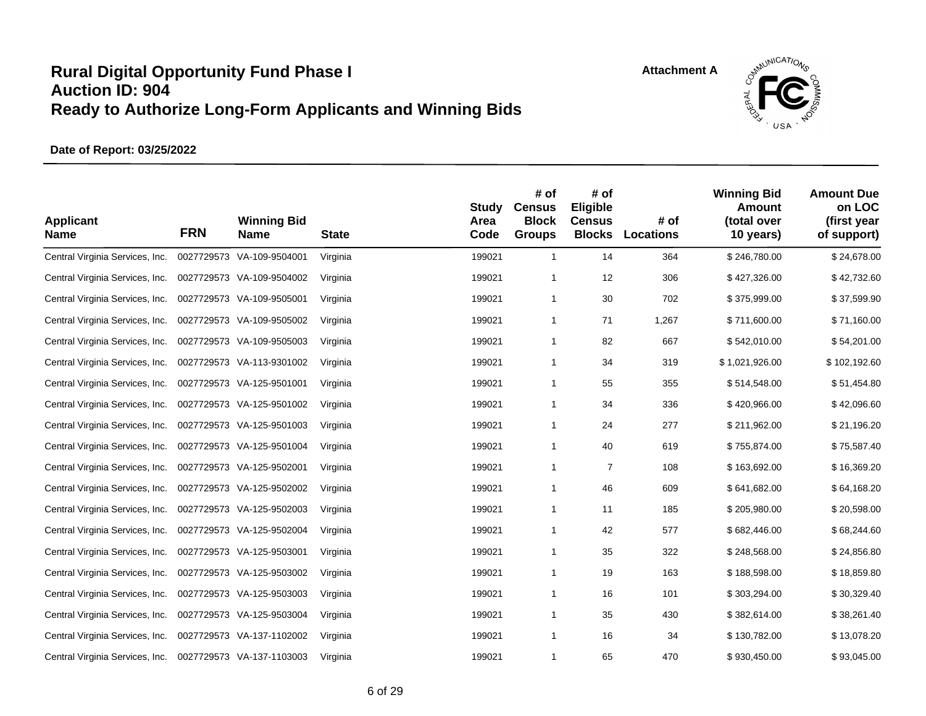

| <b>Applicant</b><br><b>Name</b> | <b>FRN</b> | <b>Winning Bid</b><br><b>Name</b> | <b>State</b> | <b>Study</b><br>Area<br>Code | # of<br><b>Census</b><br><b>Block</b><br><b>Groups</b> | # of<br>Eligible<br><b>Census</b><br><b>Blocks</b> | # of<br><b>Locations</b> | <b>Winning Bid</b><br><b>Amount</b><br>(total over<br>10 years) | <b>Amount Due</b><br>on LOC<br>(first year<br>of support) |
|---------------------------------|------------|-----------------------------------|--------------|------------------------------|--------------------------------------------------------|----------------------------------------------------|--------------------------|-----------------------------------------------------------------|-----------------------------------------------------------|
| Central Virginia Services, Inc. | 0027729573 | VA-109-9504001                    | Virginia     | 199021                       | $\mathbf{1}$                                           | 14                                                 | 364                      | \$246,780.00                                                    | \$24,678.00                                               |
| Central Virginia Services, Inc. |            | 0027729573 VA-109-9504002         | Virginia     | 199021                       | $\mathbf 1$                                            | 12                                                 | 306                      | \$427,326.00                                                    | \$42,732.60                                               |
| Central Virginia Services, Inc. |            | 0027729573 VA-109-9505001         | Virginia     | 199021                       | -1                                                     | 30                                                 | 702                      | \$375,999.00                                                    | \$37,599.90                                               |
| Central Virginia Services, Inc. |            | 0027729573 VA-109-9505002         | Virginia     | 199021                       | $\mathbf{1}$                                           | 71                                                 | 1,267                    | \$711,600.00                                                    | \$71,160.00                                               |
| Central Virginia Services, Inc. |            | 0027729573 VA-109-9505003         | Virginia     | 199021                       | -1                                                     | 82                                                 | 667                      | \$542,010.00                                                    | \$54,201.00                                               |
| Central Virginia Services, Inc. |            | 0027729573 VA-113-9301002         | Virginia     | 199021                       | -1                                                     | 34                                                 | 319                      | \$1,021,926.00                                                  | \$102,192.60                                              |
| Central Virginia Services, Inc. |            | 0027729573 VA-125-9501001         | Virginia     | 199021                       | $\mathbf 1$                                            | 55                                                 | 355                      | \$514,548.00                                                    | \$51,454.80                                               |
| Central Virginia Services, Inc. |            | 0027729573 VA-125-9501002         | Virginia     | 199021                       | -1                                                     | 34                                                 | 336                      | \$420,966.00                                                    | \$42,096.60                                               |
| Central Virginia Services, Inc. |            | 0027729573 VA-125-9501003         | Virginia     | 199021                       | -1                                                     | 24                                                 | 277                      | \$211,962.00                                                    | \$21,196.20                                               |
| Central Virginia Services, Inc. |            | 0027729573 VA-125-9501004         | Virginia     | 199021                       | -1                                                     | 40                                                 | 619                      | \$755,874.00                                                    | \$75,587.40                                               |
| Central Virginia Services, Inc. |            | 0027729573 VA-125-9502001         | Virginia     | 199021                       | -1                                                     | $\overline{7}$                                     | 108                      | \$163,692.00                                                    | \$16,369.20                                               |
| Central Virginia Services, Inc. |            | 0027729573 VA-125-9502002         | Virginia     | 199021                       | $\mathbf{1}$                                           | 46                                                 | 609                      | \$641,682.00                                                    | \$64,168.20                                               |
| Central Virginia Services, Inc. |            | 0027729573 VA-125-9502003         | Virginia     | 199021                       | -1                                                     | 11                                                 | 185                      | \$205,980.00                                                    | \$20,598.00                                               |
| Central Virginia Services, Inc. |            | 0027729573 VA-125-9502004         | Virginia     | 199021                       | $\mathbf{1}$                                           | 42                                                 | 577                      | \$682,446.00                                                    | \$68,244.60                                               |
| Central Virginia Services, Inc. |            | 0027729573 VA-125-9503001         | Virginia     | 199021                       | $\mathbf 1$                                            | 35                                                 | 322                      | \$248,568.00                                                    | \$24,856.80                                               |
| Central Virginia Services, Inc. |            | 0027729573 VA-125-9503002         | Virginia     | 199021                       | $\mathbf{1}$                                           | 19                                                 | 163                      | \$188,598.00                                                    | \$18,859.80                                               |
| Central Virginia Services, Inc. |            | 0027729573 VA-125-9503003         | Virginia     | 199021                       | $\mathbf{1}$                                           | 16                                                 | 101                      | \$303,294.00                                                    | \$30,329.40                                               |
| Central Virginia Services, Inc. |            | 0027729573 VA-125-9503004         | Virginia     | 199021                       | $\mathbf 1$                                            | 35                                                 | 430                      | \$382,614.00                                                    | \$38,261.40                                               |
| Central Virginia Services, Inc. |            | 0027729573 VA-137-1102002         | Virginia     | 199021                       | $\mathbf 1$                                            | 16                                                 | 34                       | \$130,782.00                                                    | \$13,078.20                                               |
| Central Virginia Services, Inc. |            | 0027729573 VA-137-1103003         | Virginia     | 199021                       | $\mathbf{1}$                                           | 65                                                 | 470                      | \$930,450.00                                                    | \$93,045.00                                               |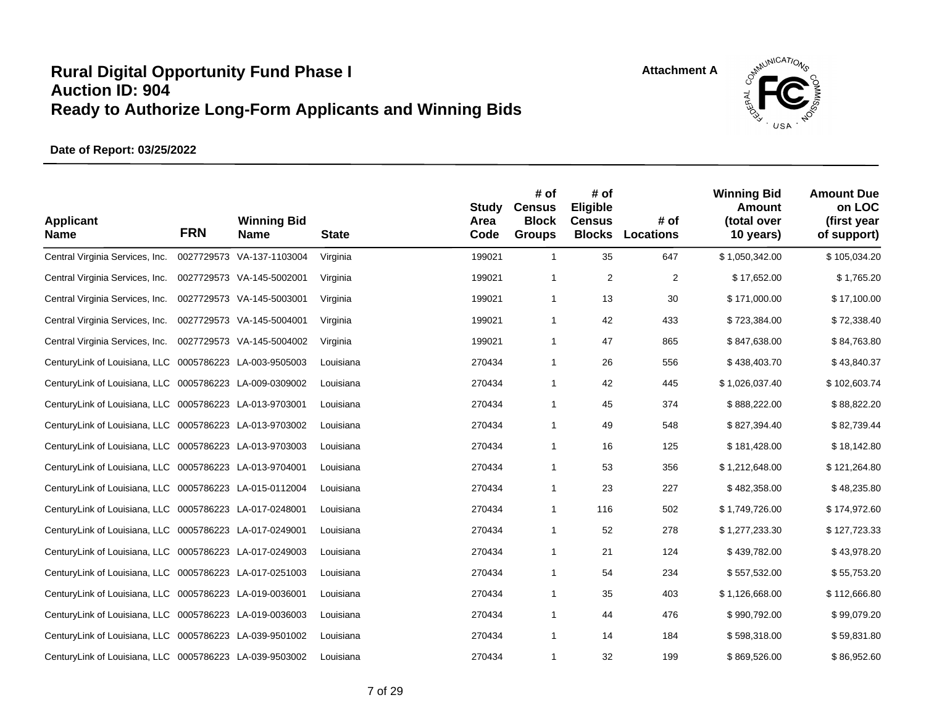

| <b>Applicant</b><br><b>Name</b>                         | <b>FRN</b> | <b>Winning Bid</b><br><b>Name</b> | <b>State</b> | <b>Study</b><br>Area<br>Code | # of<br><b>Census</b><br><b>Block</b><br><b>Groups</b> | # of<br>Eligible<br><b>Census</b><br><b>Blocks</b> | # of<br>Locations | <b>Winning Bid</b><br>Amount<br>(total over<br>10 years) | <b>Amount Due</b><br>on LOC<br>(first year<br>of support) |
|---------------------------------------------------------|------------|-----------------------------------|--------------|------------------------------|--------------------------------------------------------|----------------------------------------------------|-------------------|----------------------------------------------------------|-----------------------------------------------------------|
| Central Virginia Services, Inc.                         |            | 0027729573 VA-137-1103004         | Virginia     | 199021                       | $\mathbf{1}$                                           | 35                                                 | 647               | \$1,050,342.00                                           | \$105,034.20                                              |
| Central Virginia Services, Inc.                         |            | 0027729573 VA-145-5002001         | Virginia     | 199021                       | 1                                                      | $\overline{2}$                                     | $\overline{2}$    | \$17,652.00                                              | \$1,765.20                                                |
| Central Virginia Services, Inc.                         |            | 0027729573 VA-145-5003001         | Virginia     | 199021                       | $\mathbf{1}$                                           | 13                                                 | 30                | \$171,000.00                                             | \$17,100.00                                               |
| Central Virginia Services, Inc.                         |            | 0027729573 VA-145-5004001         | Virginia     | 199021                       | 1                                                      | 42                                                 | 433               | \$723,384.00                                             | \$72,338.40                                               |
| Central Virginia Services, Inc.                         |            | 0027729573 VA-145-5004002         | Virginia     | 199021                       | 1                                                      | 47                                                 | 865               | \$847,638.00                                             | \$84,763.80                                               |
| CenturyLink of Louisiana, LLC 0005786223 LA-003-9505003 |            |                                   | Louisiana    | 270434                       | 1                                                      | 26                                                 | 556               | \$438,403.70                                             | \$43,840.37                                               |
| CenturyLink of Louisiana, LLC 0005786223 LA-009-0309002 |            |                                   | Louisiana    | 270434                       | 1                                                      | 42                                                 | 445               | \$1,026,037.40                                           | \$102,603.74                                              |
| CenturyLink of Louisiana, LLC 0005786223 LA-013-9703001 |            |                                   | Louisiana    | 270434                       | $\mathbf{1}$                                           | 45                                                 | 374               | \$888,222.00                                             | \$88,822.20                                               |
| CenturyLink of Louisiana, LLC 0005786223 LA-013-9703002 |            |                                   | Louisiana    | 270434                       | 1                                                      | 49                                                 | 548               | \$827,394.40                                             | \$82,739.44                                               |
| CenturyLink of Louisiana, LLC 0005786223 LA-013-9703003 |            |                                   | Louisiana    | 270434                       | 1                                                      | 16                                                 | 125               | \$181,428.00                                             | \$18,142.80                                               |
| CenturyLink of Louisiana, LLC 0005786223 LA-013-9704001 |            |                                   | Louisiana    | 270434                       | 1                                                      | 53                                                 | 356               | \$1,212,648.00                                           | \$121,264.80                                              |
| CenturyLink of Louisiana, LLC 0005786223 LA-015-0112004 |            |                                   | Louisiana    | 270434                       | 1                                                      | 23                                                 | 227               | \$482,358.00                                             | \$48,235.80                                               |
| CenturyLink of Louisiana, LLC 0005786223 LA-017-0248001 |            |                                   | Louisiana    | 270434                       | $\mathbf{1}$                                           | 116                                                | 502               | \$1,749,726.00                                           | \$174,972.60                                              |
| CenturyLink of Louisiana, LLC 0005786223 LA-017-0249001 |            |                                   | Louisiana    | 270434                       | 1                                                      | 52                                                 | 278               | \$1,277,233.30                                           | \$127,723.33                                              |
| CenturyLink of Louisiana, LLC 0005786223 LA-017-0249003 |            |                                   | Louisiana    | 270434                       | 1                                                      | 21                                                 | 124               | \$439,782.00                                             | \$43,978.20                                               |
| CenturyLink of Louisiana, LLC 0005786223 LA-017-0251003 |            |                                   | Louisiana    | 270434                       | 1                                                      | 54                                                 | 234               | \$557,532.00                                             | \$55,753.20                                               |
| CenturyLink of Louisiana, LLC 0005786223 LA-019-0036001 |            |                                   | Louisiana    | 270434                       | 1                                                      | 35                                                 | 403               | \$1,126,668.00                                           | \$112,666.80                                              |
| CenturyLink of Louisiana, LLC 0005786223 LA-019-0036003 |            |                                   | Louisiana    | 270434                       | 1                                                      | 44                                                 | 476               | \$990,792.00                                             | \$99,079.20                                               |
| CenturyLink of Louisiana, LLC 0005786223 LA-039-9501002 |            |                                   | Louisiana    | 270434                       | $\mathbf{1}$                                           | 14                                                 | 184               | \$598,318.00                                             | \$59,831.80                                               |
| CenturyLink of Louisiana, LLC 0005786223 LA-039-9503002 |            |                                   | Louisiana    | 270434                       | 1                                                      | 32                                                 | 199               | \$869,526.00                                             | \$86,952.60                                               |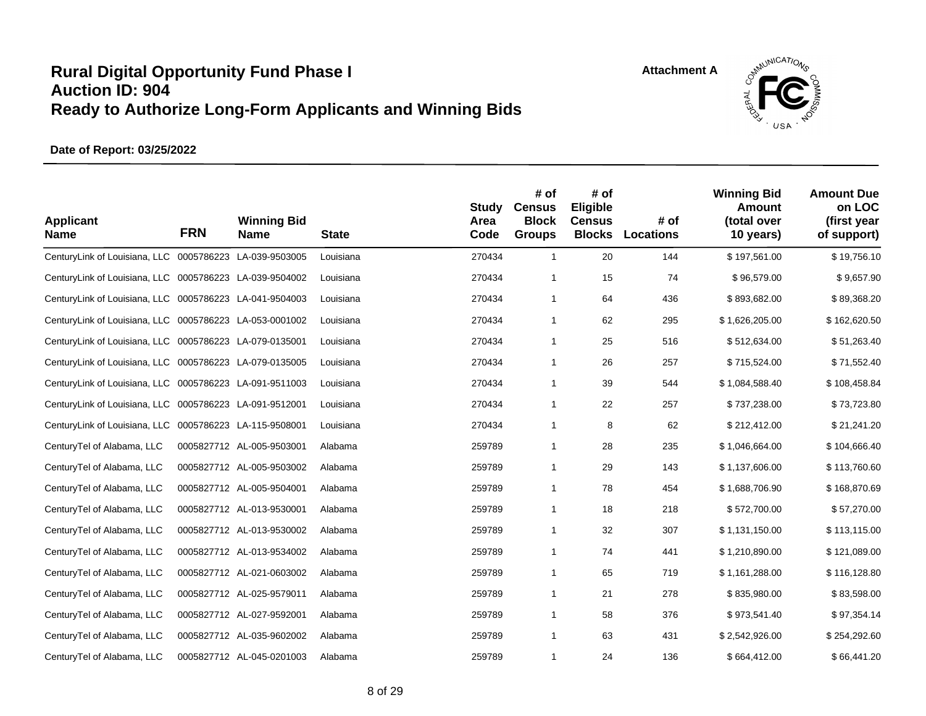

| <b>Applicant</b><br><b>Name</b>                         | <b>FRN</b> | <b>Winning Bid</b><br>Name | <b>State</b> | <b>Study</b><br>Area<br>Code | # of<br><b>Census</b><br><b>Block</b><br><b>Groups</b> | # of<br>Eligible<br><b>Census</b><br><b>Blocks</b> | # of<br>Locations | <b>Winning Bid</b><br><b>Amount</b><br>(total over<br>10 years) | <b>Amount Due</b><br>on LOC<br>(first year<br>of support) |
|---------------------------------------------------------|------------|----------------------------|--------------|------------------------------|--------------------------------------------------------|----------------------------------------------------|-------------------|-----------------------------------------------------------------|-----------------------------------------------------------|
| CenturyLink of Louisiana, LLC 0005786223 LA-039-9503005 |            |                            | Louisiana    | 270434                       | $\mathbf{1}$                                           | 20                                                 | 144               | \$197,561.00                                                    | \$19,756.10                                               |
| CenturyLink of Louisiana, LLC 0005786223 LA-039-9504002 |            |                            | Louisiana    | 270434                       | $\mathbf{1}$                                           | 15                                                 | 74                | \$96,579.00                                                     | \$9,657.90                                                |
| CenturyLink of Louisiana, LLC 0005786223 LA-041-9504003 |            |                            | Louisiana    | 270434                       | $\mathbf{1}$                                           | 64                                                 | 436               | \$893,682.00                                                    | \$89,368.20                                               |
| CenturyLink of Louisiana, LLC 0005786223 LA-053-0001002 |            |                            | Louisiana    | 270434                       | $\mathbf{1}$                                           | 62                                                 | 295               | \$1,626,205.00                                                  | \$162,620.50                                              |
| CenturyLink of Louisiana, LLC 0005786223 LA-079-0135001 |            |                            | Louisiana    | 270434                       | $\mathbf{1}$                                           | 25                                                 | 516               | \$512,634.00                                                    | \$51,263.40                                               |
| CenturyLink of Louisiana, LLC 0005786223 LA-079-0135005 |            |                            | Louisiana    | 270434                       | $\mathbf{1}$                                           | 26                                                 | 257               | \$715,524.00                                                    | \$71,552.40                                               |
| CenturyLink of Louisiana, LLC 0005786223 LA-091-9511003 |            |                            | Louisiana    | 270434                       | $\mathbf{1}$                                           | 39                                                 | 544               | \$1,084,588.40                                                  | \$108,458.84                                              |
| CenturyLink of Louisiana, LLC 0005786223 LA-091-9512001 |            |                            | Louisiana    | 270434                       | $\mathbf{1}$                                           | 22                                                 | 257               | \$737,238.00                                                    | \$73,723.80                                               |
| CenturyLink of Louisiana, LLC 0005786223 LA-115-9508001 |            |                            | Louisiana    | 270434                       | $\mathbf{1}$                                           | 8                                                  | 62                | \$212,412.00                                                    | \$21,241.20                                               |
| CenturyTel of Alabama, LLC                              |            | 0005827712 AL-005-9503001  | Alabama      | 259789                       | $\mathbf{1}$                                           | 28                                                 | 235               | \$1,046,664.00                                                  | \$104,666.40                                              |
| CenturyTel of Alabama, LLC                              |            | 0005827712 AL-005-9503002  | Alabama      | 259789                       | $\mathbf{1}$                                           | 29                                                 | 143               | \$1,137,606.00                                                  | \$113,760.60                                              |
| CenturyTel of Alabama, LLC                              |            | 0005827712 AL-005-9504001  | Alabama      | 259789                       | $\mathbf{1}$                                           | 78                                                 | 454               | \$1,688,706.90                                                  | \$168,870.69                                              |
| CenturyTel of Alabama, LLC                              |            | 0005827712 AL-013-9530001  | Alabama      | 259789                       | $\mathbf{1}$                                           | 18                                                 | 218               | \$572,700.00                                                    | \$57,270.00                                               |
| CenturyTel of Alabama, LLC                              |            | 0005827712 AL-013-9530002  | Alabama      | 259789                       | $\mathbf{1}$                                           | 32                                                 | 307               | \$1,131,150.00                                                  | \$113,115.00                                              |
| CenturyTel of Alabama, LLC                              |            | 0005827712 AL-013-9534002  | Alabama      | 259789                       | $\mathbf{1}$                                           | 74                                                 | 441               | \$1,210,890.00                                                  | \$121,089.00                                              |
| CenturyTel of Alabama, LLC                              |            | 0005827712 AL-021-0603002  | Alabama      | 259789                       | $\mathbf{1}$                                           | 65                                                 | 719               | \$1,161,288.00                                                  | \$116,128.80                                              |
| CenturyTel of Alabama, LLC                              |            | 0005827712 AL-025-9579011  | Alabama      | 259789                       | $\mathbf{1}$                                           | 21                                                 | 278               | \$835,980.00                                                    | \$83,598.00                                               |
| CenturyTel of Alabama, LLC                              |            | 0005827712 AL-027-9592001  | Alabama      | 259789                       | $\mathbf{1}$                                           | 58                                                 | 376               | \$973,541.40                                                    | \$97,354.14                                               |
| CenturyTel of Alabama, LLC                              |            | 0005827712 AL-035-9602002  | Alabama      | 259789                       | $\mathbf{1}$                                           | 63                                                 | 431               | \$2,542,926.00                                                  | \$254,292.60                                              |
| CenturyTel of Alabama, LLC                              |            | 0005827712 AL-045-0201003  | Alabama      | 259789                       | 1                                                      | 24                                                 | 136               | \$664,412.00                                                    | \$66,441.20                                               |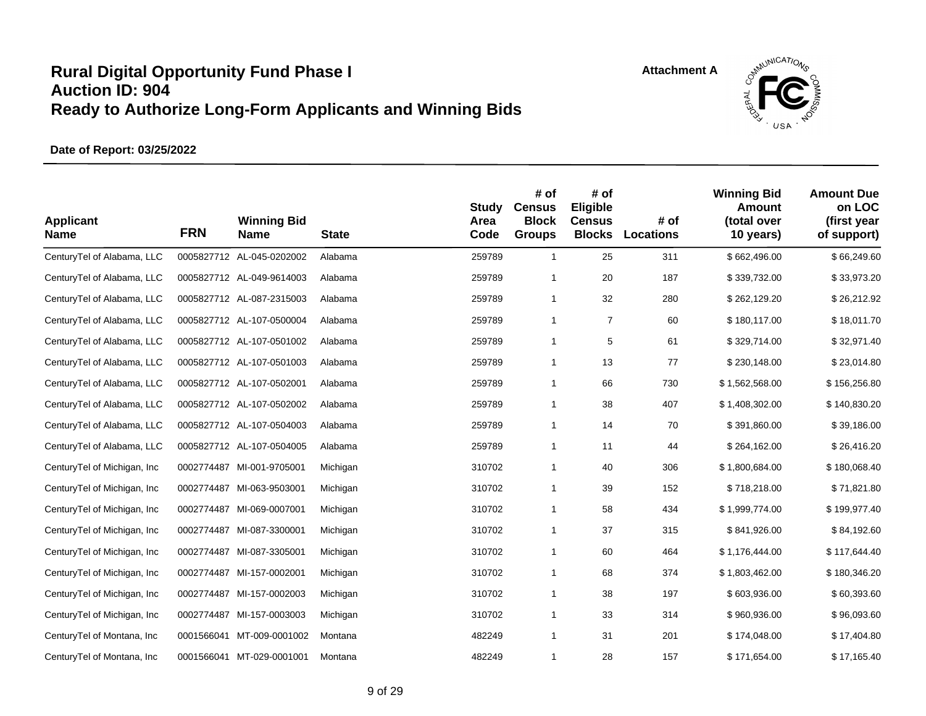

| <b>Applicant</b><br><b>Name</b> | <b>FRN</b> | <b>Winning Bid</b><br>Name | <b>State</b> | <b>Study</b><br>Area<br>Code | # of<br><b>Census</b><br><b>Block</b><br><b>Groups</b> | # of<br>Eligible<br><b>Census</b><br><b>Blocks</b> | # of<br>Locations | <b>Winning Bid</b><br>Amount<br>(total over<br>10 years) | <b>Amount Due</b><br>on LOC<br>(first year<br>of support) |
|---------------------------------|------------|----------------------------|--------------|------------------------------|--------------------------------------------------------|----------------------------------------------------|-------------------|----------------------------------------------------------|-----------------------------------------------------------|
| CenturyTel of Alabama, LLC      |            | 0005827712 AL-045-0202002  | Alabama      | 259789                       | $\mathbf{1}$                                           | 25                                                 | 311               | \$662,496.00                                             | \$66,249.60                                               |
| CenturyTel of Alabama, LLC      |            | 0005827712 AL-049-9614003  | Alabama      | 259789                       | $\mathbf{1}$                                           | 20                                                 | 187               | \$339,732.00                                             | \$33,973.20                                               |
| CenturyTel of Alabama, LLC      |            | 0005827712 AL-087-2315003  | Alabama      | 259789                       | $\mathbf{1}$                                           | 32                                                 | 280               | \$262,129.20                                             | \$26,212.92                                               |
| CenturyTel of Alabama, LLC      |            | 0005827712 AL-107-0500004  | Alabama      | 259789                       | $\mathbf{1}$                                           | $\overline{7}$                                     | 60                | \$180,117.00                                             | \$18,011.70                                               |
| CenturyTel of Alabama, LLC      |            | 0005827712 AL-107-0501002  | Alabama      | 259789                       | $\mathbf{1}$                                           | 5                                                  | 61                | \$329,714.00                                             | \$32,971.40                                               |
| CenturyTel of Alabama, LLC      |            | 0005827712 AL-107-0501003  | Alabama      | 259789                       | $\mathbf{1}$                                           | 13                                                 | 77                | \$230,148.00                                             | \$23,014.80                                               |
| CenturyTel of Alabama, LLC      |            | 0005827712 AL-107-0502001  | Alabama      | 259789                       | $\mathbf{1}$                                           | 66                                                 | 730               | \$1,562,568.00                                           | \$156,256.80                                              |
| CenturyTel of Alabama, LLC      |            | 0005827712 AL-107-0502002  | Alabama      | 259789                       | $\mathbf{1}$                                           | 38                                                 | 407               | \$1,408,302.00                                           | \$140,830.20                                              |
| CenturyTel of Alabama, LLC      |            | 0005827712 AL-107-0504003  | Alabama      | 259789                       | $\mathbf{1}$                                           | 14                                                 | 70                | \$391,860.00                                             | \$39,186.00                                               |
| CenturyTel of Alabama, LLC      |            | 0005827712 AL-107-0504005  | Alabama      | 259789                       | $\mathbf{1}$                                           | 11                                                 | 44                | \$264,162.00                                             | \$26,416.20                                               |
| CenturyTel of Michigan, Inc.    |            | 0002774487 MI-001-9705001  | Michigan     | 310702                       | $\mathbf{1}$                                           | 40                                                 | 306               | \$1,800,684.00                                           | \$180,068.40                                              |
| CenturyTel of Michigan, Inc     |            | 0002774487 MI-063-9503001  | Michigan     | 310702                       | $\mathbf{1}$                                           | 39                                                 | 152               | \$718,218.00                                             | \$71,821.80                                               |
| CenturyTel of Michigan, Inc.    |            | 0002774487 MI-069-0007001  | Michigan     | 310702                       | $\mathbf{1}$                                           | 58                                                 | 434               | \$1,999,774.00                                           | \$199,977.40                                              |
| CenturyTel of Michigan, Inc.    |            | 0002774487 MI-087-3300001  | Michigan     | 310702                       | $\mathbf{1}$                                           | 37                                                 | 315               | \$841,926.00                                             | \$84,192.60                                               |
| CenturyTel of Michigan, Inc     |            | 0002774487 MI-087-3305001  | Michigan     | 310702                       | $\mathbf{1}$                                           | 60                                                 | 464               | \$1,176,444.00                                           | \$117,644.40                                              |
| CenturyTel of Michigan, Inc     |            | 0002774487 MI-157-0002001  | Michigan     | 310702                       | $\mathbf{1}$                                           | 68                                                 | 374               | \$1,803,462.00                                           | \$180,346.20                                              |
| CenturyTel of Michigan, Inc.    |            | 0002774487 MI-157-0002003  | Michigan     | 310702                       | $\mathbf{1}$                                           | 38                                                 | 197               | \$603,936.00                                             | \$60,393.60                                               |
| CenturyTel of Michigan, Inc.    |            | 0002774487 MI-157-0003003  | Michigan     | 310702                       | $\mathbf{1}$                                           | 33                                                 | 314               | \$960,936.00                                             | \$96,093.60                                               |
| CenturyTel of Montana, Inc.     |            | 0001566041 MT-009-0001002  | Montana      | 482249                       | $\mathbf{1}$                                           | 31                                                 | 201               | \$174,048.00                                             | \$17,404.80                                               |
| CenturyTel of Montana, Inc.     |            | 0001566041 MT-029-0001001  | Montana      | 482249                       | 1                                                      | 28                                                 | 157               | \$171,654.00                                             | \$17,165.40                                               |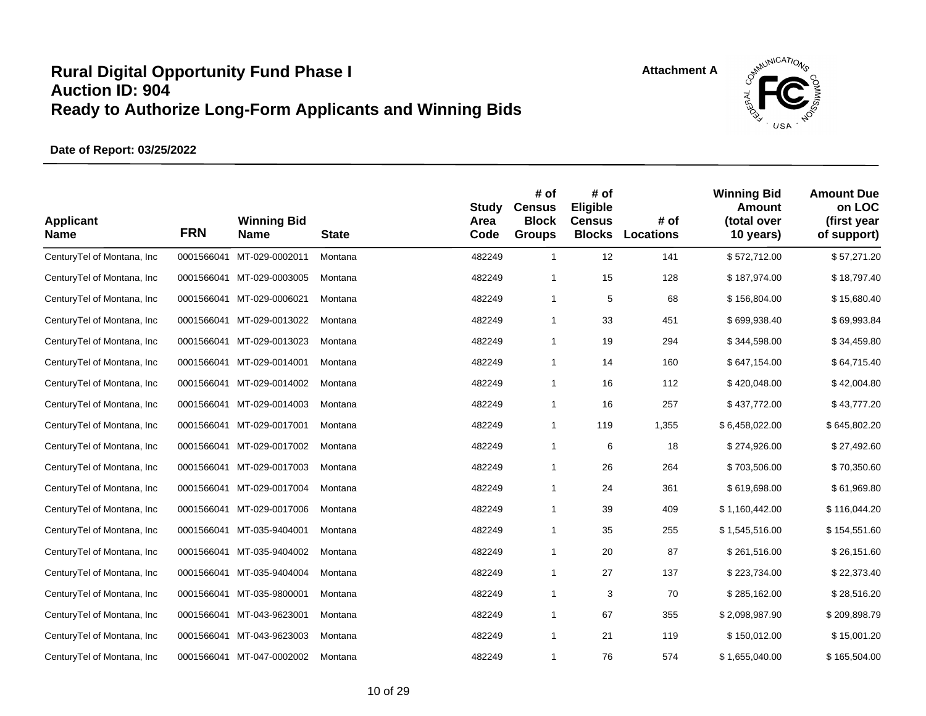

| <b>Applicant</b><br><b>Name</b> | <b>FRN</b> | <b>Winning Bid</b><br><b>Name</b> | <b>State</b> | <b>Study</b><br>Area<br>Code | # of<br><b>Census</b><br><b>Block</b><br><b>Groups</b> | # of<br>Eligible<br><b>Census</b><br><b>Blocks</b> | # of<br>Locations | <b>Winning Bid</b><br><b>Amount</b><br>(total over<br>10 years) | <b>Amount Due</b><br>on LOC<br>(first year<br>of support) |
|---------------------------------|------------|-----------------------------------|--------------|------------------------------|--------------------------------------------------------|----------------------------------------------------|-------------------|-----------------------------------------------------------------|-----------------------------------------------------------|
| CenturyTel of Montana, Inc      |            | 0001566041 MT-029-0002011         | Montana      | 482249                       | $\mathbf{1}$                                           | 12                                                 | 141               | \$572,712.00                                                    | \$57,271.20                                               |
| CenturyTel of Montana, Inc      |            | 0001566041 MT-029-0003005         | Montana      | 482249                       | $\mathbf{1}$                                           | 15                                                 | 128               | \$187,974.00                                                    | \$18,797.40                                               |
| CenturyTel of Montana, Inc      |            | 0001566041 MT-029-0006021         | Montana      | 482249                       | $\mathbf{1}$                                           | 5                                                  | 68                | \$156,804.00                                                    | \$15,680.40                                               |
| CenturyTel of Montana, Inc      |            | 0001566041 MT-029-0013022         | Montana      | 482249                       | 1                                                      | 33                                                 | 451               | \$699,938.40                                                    | \$69,993.84                                               |
| CenturyTel of Montana, Inc      |            | 0001566041 MT-029-0013023         | Montana      | 482249                       | $\mathbf{1}$                                           | 19                                                 | 294               | \$344,598.00                                                    | \$34,459.80                                               |
| CenturyTel of Montana, Inc      |            | 0001566041 MT-029-0014001         | Montana      | 482249                       | $\mathbf{1}$                                           | 14                                                 | 160               | \$647,154.00                                                    | \$64,715.40                                               |
| CenturyTel of Montana, Inc.     |            | 0001566041 MT-029-0014002         | Montana      | 482249                       | $\mathbf{1}$                                           | 16                                                 | 112               | \$420,048.00                                                    | \$42,004.80                                               |
| CenturyTel of Montana, Inc      |            | 0001566041 MT-029-0014003         | Montana      | 482249                       | $\mathbf{1}$                                           | 16                                                 | 257               | \$437,772.00                                                    | \$43,777.20                                               |
| CenturyTel of Montana, Inc.     |            | 0001566041 MT-029-0017001         | Montana      | 482249                       | $\mathbf{1}$                                           | 119                                                | 1,355             | \$6,458,022.00                                                  | \$645,802.20                                              |
| CenturyTel of Montana, Inc.     |            | 0001566041 MT-029-0017002         | Montana      | 482249                       | $\mathbf{1}$                                           | 6                                                  | 18                | \$274,926.00                                                    | \$27,492.60                                               |
| CenturyTel of Montana, Inc      |            | 0001566041 MT-029-0017003         | Montana      | 482249                       | $\mathbf{1}$                                           | 26                                                 | 264               | \$703,506.00                                                    | \$70,350.60                                               |
| CenturyTel of Montana, Inc      |            | 0001566041 MT-029-0017004         | Montana      | 482249                       | 1                                                      | 24                                                 | 361               | \$619,698.00                                                    | \$61,969.80                                               |
| CenturyTel of Montana, Inc      |            | 0001566041 MT-029-0017006         | Montana      | 482249                       | 1                                                      | 39                                                 | 409               | \$1,160,442.00                                                  | \$116,044.20                                              |
| CenturyTel of Montana, Inc      | 0001566041 | MT-035-9404001                    | Montana      | 482249                       | $\mathbf{1}$                                           | 35                                                 | 255               | \$1,545,516.00                                                  | \$154,551.60                                              |
| CenturyTel of Montana, Inc      |            | 0001566041 MT-035-9404002         | Montana      | 482249                       | 1                                                      | 20                                                 | 87                | \$261,516.00                                                    | \$26,151.60                                               |
| CenturyTel of Montana, Inc      | 0001566041 | MT-035-9404004                    | Montana      | 482249                       | $\mathbf{1}$                                           | 27                                                 | 137               | \$223,734.00                                                    | \$22,373.40                                               |
| CenturyTel of Montana, Inc.     |            | 0001566041 MT-035-9800001         | Montana      | 482249                       | 1                                                      | 3                                                  | 70                | \$285,162.00                                                    | \$28,516.20                                               |
| CenturyTel of Montana, Inc.     |            | 0001566041 MT-043-9623001         | Montana      | 482249                       | 1                                                      | 67                                                 | 355               | \$2,098,987.90                                                  | \$209,898.79                                              |
| CenturyTel of Montana, Inc.     |            | 0001566041 MT-043-9623003         | Montana      | 482249                       | $\mathbf{1}$                                           | 21                                                 | 119               | \$150,012.00                                                    | \$15,001.20                                               |
| CenturyTel of Montana, Inc.     |            | 0001566041 MT-047-0002002         | Montana      | 482249                       | 1                                                      | 76                                                 | 574               | \$1,655,040.00                                                  | \$165,504.00                                              |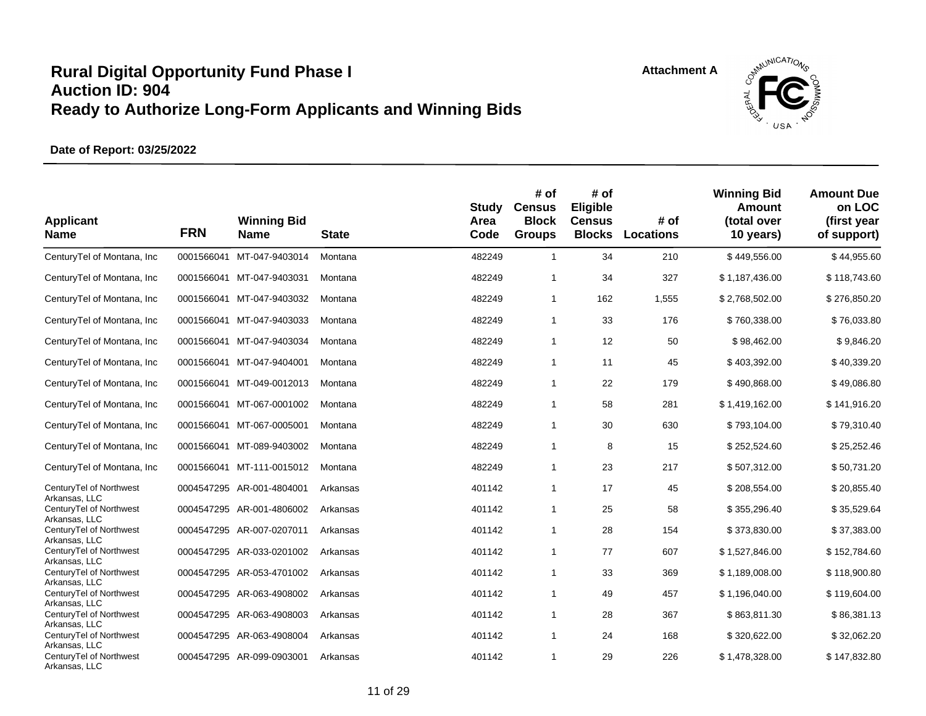



| <b>Applicant</b><br><b>Name</b>                           | <b>FRN</b> | <b>Winning Bid</b><br><b>Name</b> | <b>State</b> | <b>Study</b><br>Area<br>Code | # of<br><b>Census</b><br><b>Block</b><br><b>Groups</b> | # of<br>Eligible<br><b>Census</b><br><b>Blocks</b> | # of<br><b>Locations</b> | <b>Winning Bid</b><br><b>Amount</b><br>(total over<br>10 years) | <b>Amount Due</b><br>on LOC<br>(first year<br>of support) |
|-----------------------------------------------------------|------------|-----------------------------------|--------------|------------------------------|--------------------------------------------------------|----------------------------------------------------|--------------------------|-----------------------------------------------------------------|-----------------------------------------------------------|
| CenturyTel of Montana, Inc                                | 0001566041 | MT-047-9403014                    | Montana      | 482249                       | $\mathbf{1}$                                           | 34                                                 | 210                      | \$449,556.00                                                    | \$44,955.60                                               |
| Century Tel of Montana, Inc.                              | 0001566041 | MT-047-9403031                    | Montana      | 482249                       | 1                                                      | 34                                                 | 327                      | \$1,187,436.00                                                  | \$118,743.60                                              |
| CenturyTel of Montana, Inc                                | 0001566041 | MT-047-9403032                    | Montana      | 482249                       | $\mathbf{1}$                                           | 162                                                | 1,555                    | \$2,768,502.00                                                  | \$276,850.20                                              |
| CenturyTel of Montana, Inc.                               |            | 0001566041 MT-047-9403033         | Montana      | 482249                       | $\mathbf{1}$                                           | 33                                                 | 176                      | \$760,338.00                                                    | \$76,033.80                                               |
| CenturyTel of Montana, Inc                                | 0001566041 | MT-047-9403034                    | Montana      | 482249                       | $\mathbf{1}$                                           | 12                                                 | 50                       | \$98,462.00                                                     | \$9,846.20                                                |
| CenturyTel of Montana, Inc.                               |            | 0001566041 MT-047-9404001         | Montana      | 482249                       | 1                                                      | 11                                                 | 45                       | \$403,392.00                                                    | \$40,339.20                                               |
| CenturyTel of Montana, Inc                                | 0001566041 | MT-049-0012013                    | Montana      | 482249                       | 1                                                      | 22                                                 | 179                      | \$490,868.00                                                    | \$49,086.80                                               |
| CenturyTel of Montana, Inc.                               |            | 0001566041 MT-067-0001002         | Montana      | 482249                       | $\mathbf{1}$                                           | 58                                                 | 281                      | \$1,419,162.00                                                  | \$141,916.20                                              |
| CenturyTel of Montana, Inc                                |            | 0001566041 MT-067-0005001         | Montana      | 482249                       | 1                                                      | 30                                                 | 630                      | \$793,104.00                                                    | \$79,310.40                                               |
| CenturyTel of Montana, Inc.                               | 0001566041 | MT-089-9403002                    | Montana      | 482249                       | $\mathbf{1}$                                           | 8                                                  | 15                       | \$252,524.60                                                    | \$25,252.46                                               |
| CenturyTel of Montana, Inc                                |            | 0001566041 MT-111-0015012         | Montana      | 482249                       | 1                                                      | 23                                                 | 217                      | \$507,312.00                                                    | \$50,731.20                                               |
| CenturyTel of Northwest                                   |            | 0004547295 AR-001-4804001         | Arkansas     | 401142                       | $\mathbf{1}$                                           | 17                                                 | 45                       | \$208,554.00                                                    | \$20,855.40                                               |
| Arkansas, LLC<br>CenturyTel of Northwest                  |            | 0004547295 AR-001-4806002         | Arkansas     | 401142                       | $\mathbf{1}$                                           | 25                                                 | 58                       | \$355,296.40                                                    | \$35,529.64                                               |
| Arkansas, LLC<br>CenturyTel of Northwest                  |            | 0004547295 AR-007-0207011         | Arkansas     | 401142                       | 1                                                      | 28                                                 | 154                      | \$373,830.00                                                    | \$37,383.00                                               |
| Arkansas, LLC<br>CenturyTel of Northwest                  |            | 0004547295 AR-033-0201002         | Arkansas     | 401142                       | 1                                                      | 77                                                 | 607                      | \$1,527,846.00                                                  | \$152,784.60                                              |
| Arkansas, LLC<br>CenturyTel of Northwest                  |            | 0004547295 AR-053-4701002         | Arkansas     | 401142                       | $\mathbf{1}$                                           | 33                                                 | 369                      | \$1,189,008.00                                                  | \$118,900.80                                              |
| Arkansas, LLC<br>CenturyTel of Northwest                  |            | 0004547295 AR-063-4908002         | Arkansas     | 401142                       | 1                                                      | 49                                                 | 457                      | \$1,196,040.00                                                  | \$119,604.00                                              |
| Arkansas, LLC<br>CenturyTel of Northwest                  |            | 0004547295 AR-063-4908003         | Arkansas     | 401142                       | $\mathbf{1}$                                           | 28                                                 | 367                      | \$863,811.30                                                    | \$86,381.13                                               |
| Arkansas, LLC<br>CenturyTel of Northwest                  |            | 0004547295 AR-063-4908004         | Arkansas     | 401142                       | 1                                                      | 24                                                 | 168                      | \$320,622.00                                                    | \$32,062.20                                               |
| Arkansas, LLC<br>CenturyTel of Northwest<br>Arkansas, LLC |            | 0004547295 AR-099-0903001         | Arkansas     | 401142                       | 1                                                      | 29                                                 | 226                      | \$1,478,328.00                                                  | \$147,832.80                                              |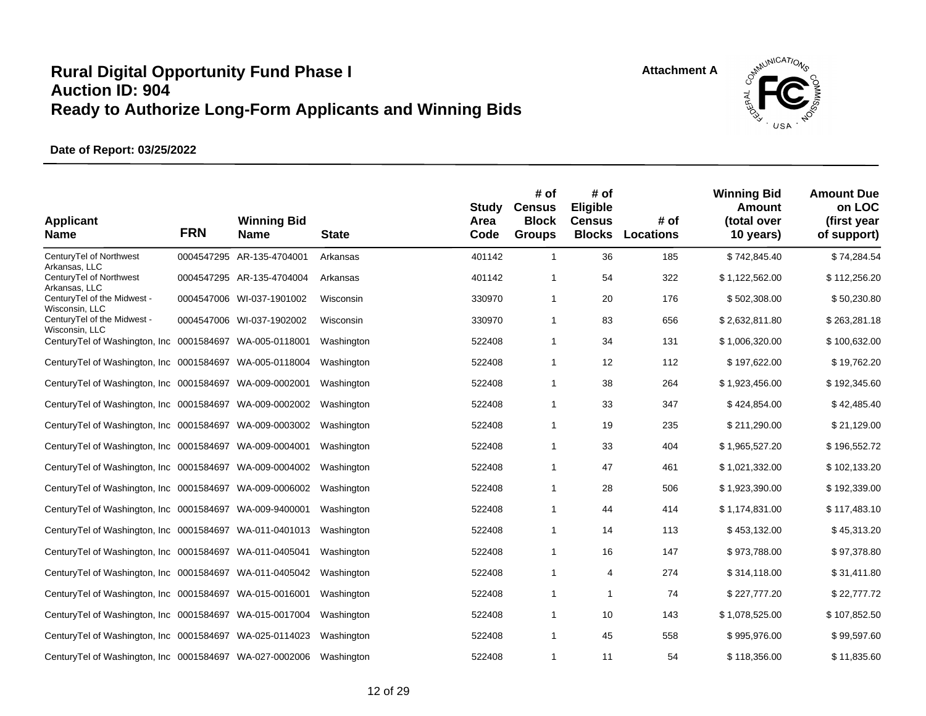



| <b>Applicant</b><br><b>Name</b>                          | <b>FRN</b> | <b>Winning Bid</b><br><b>Name</b> | <b>State</b> | Study<br>Area<br>Code | # of<br><b>Census</b><br><b>Block</b><br><b>Groups</b> | # of<br>Eligible<br><b>Census</b><br><b>Blocks</b> | # of<br><b>Locations</b> | <b>Winning Bid</b><br>Amount<br>(total over<br>10 years) | <b>Amount Due</b><br>on LOC<br>(first year<br>of support) |
|----------------------------------------------------------|------------|-----------------------------------|--------------|-----------------------|--------------------------------------------------------|----------------------------------------------------|--------------------------|----------------------------------------------------------|-----------------------------------------------------------|
| CenturyTel of Northwest<br>Arkansas, LLC                 |            | 0004547295 AR-135-4704001         | Arkansas     | 401142                | $\mathbf{1}$                                           | 36                                                 | 185                      | \$742,845.40                                             | \$74,284.54                                               |
| CenturyTel of Northwest<br>Arkansas, LLC                 |            | 0004547295 AR-135-4704004         | Arkansas     | 401142                | 1                                                      | 54                                                 | 322                      | \$1,122,562.00                                           | \$112,256.20                                              |
| CenturyTel of the Midwest -<br>Wisconsin, LLC            |            | 0004547006 WI-037-1901002         | Wisconsin    | 330970                | $\mathbf{1}$                                           | 20                                                 | 176                      | \$502,308.00                                             | \$50,230.80                                               |
| CenturyTel of the Midwest -<br>Wisconsin, LLC            |            | 0004547006 WI-037-1902002         | Wisconsin    | 330970                | 1                                                      | 83                                                 | 656                      | \$2,632,811.80                                           | \$263,281.18                                              |
| CenturyTel of Washington, Inc 0001584697 WA-005-0118001  |            |                                   | Washington   | 522408                | 1                                                      | 34                                                 | 131                      | \$1,006,320.00                                           | \$100,632.00                                              |
| Century Tel of Washington, Inc 0001584697 WA-005-0118004 |            |                                   | Washington   | 522408                | 1                                                      | 12                                                 | 112                      | \$197,622.00                                             | \$19,762.20                                               |
| Century Tel of Washington, Inc 0001584697 WA-009-0002001 |            |                                   | Washington   | 522408                | 1                                                      | 38                                                 | 264                      | \$1,923,456.00                                           | \$192,345.60                                              |
| CenturyTel of Washington, Inc 0001584697 WA-009-0002002  |            |                                   | Washington   | 522408                | 1                                                      | 33                                                 | 347                      | \$424,854.00                                             | \$42,485.40                                               |
| CenturyTel of Washington, Inc 0001584697 WA-009-0003002  |            |                                   | Washington   | 522408                | 1                                                      | 19                                                 | 235                      | \$211,290.00                                             | \$21,129.00                                               |
| Century Tel of Washington, Inc 0001584697 WA-009-0004001 |            |                                   | Washington   | 522408                | 1                                                      | 33                                                 | 404                      | \$1,965,527.20                                           | \$196,552.72                                              |
| Century Tel of Washington, Inc 0001584697 WA-009-0004002 |            |                                   | Washington   | 522408                | 1                                                      | 47                                                 | 461                      | \$1,021,332.00                                           | \$102,133.20                                              |
| Century Tel of Washington, Inc 0001584697 WA-009-0006002 |            |                                   | Washington   | 522408                | 1                                                      | 28                                                 | 506                      | \$1,923,390.00                                           | \$192,339.00                                              |
| CenturyTel of Washington, Inc 0001584697 WA-009-9400001  |            |                                   | Washington   | 522408                | 1                                                      | 44                                                 | 414                      | \$1,174,831.00                                           | \$117,483.10                                              |
| CenturyTel of Washington, Inc 0001584697 WA-011-0401013  |            |                                   | Washington   | 522408                | $\mathbf{1}$                                           | 14                                                 | 113                      | \$453,132.00                                             | \$45,313.20                                               |
| Century Tel of Washington, Inc 0001584697 WA-011-0405041 |            |                                   | Washington   | 522408                | 1                                                      | 16                                                 | 147                      | \$973,788.00                                             | \$97,378.80                                               |
| CenturyTel of Washington, Inc 0001584697 WA-011-0405042  |            |                                   | Washington   | 522408                | 1                                                      | 4                                                  | 274                      | \$314,118.00                                             | \$31,411.80                                               |
| CenturyTel of Washington, Inc 0001584697                 |            | WA-015-0016001                    | Washington   | 522408                | 1                                                      | 1                                                  | 74                       | \$227,777.20                                             | \$22,777.72                                               |
| CenturyTel of Washington, Inc 0001584697 WA-015-0017004  |            |                                   | Washington   | 522408                | $\mathbf{1}$                                           | 10                                                 | 143                      | \$1,078,525.00                                           | \$107,852.50                                              |
| CenturyTel of Washington, Inc 0001584697 WA-025-0114023  |            |                                   | Washington   | 522408                | $\mathbf{1}$                                           | 45                                                 | 558                      | \$995,976.00                                             | \$99,597.60                                               |
| CenturyTel of Washington, Inc 0001584697 WA-027-0002006  |            |                                   | Washington   | 522408                | 1                                                      | 11                                                 | 54                       | \$118,356.00                                             | \$11,835.60                                               |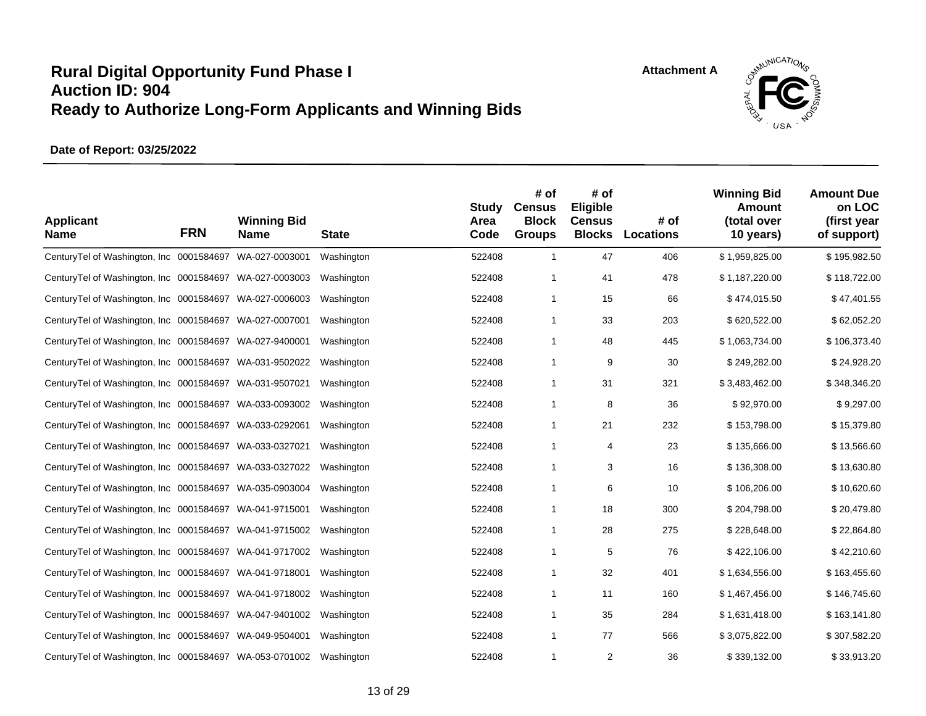

| <b>Applicant</b><br><b>Name</b>                          | <b>FRN</b> | <b>Winning Bid</b><br>Name | <b>State</b> | <b>Study</b><br>Area<br>Code | # of<br><b>Census</b><br><b>Block</b><br><b>Groups</b> | # of<br>Eligible<br><b>Census</b><br><b>Blocks</b> | # of<br><b>Locations</b> | <b>Winning Bid</b><br><b>Amount</b><br>(total over<br>10 years) | <b>Amount Due</b><br>on LOC<br>(first year<br>of support) |
|----------------------------------------------------------|------------|----------------------------|--------------|------------------------------|--------------------------------------------------------|----------------------------------------------------|--------------------------|-----------------------------------------------------------------|-----------------------------------------------------------|
| CenturyTel of Washington, Inc 0001584697 WA-027-0003001  |            |                            | Washington   | 522408                       | $\mathbf{1}$                                           | 47                                                 | 406                      | \$1,959,825.00                                                  | \$195,982.50                                              |
| CenturyTel of Washington, Inc 0001584697                 |            | WA-027-0003003             | Washington   | 522408                       | 1                                                      | 41                                                 | 478                      | \$1,187,220.00                                                  | \$118,722.00                                              |
| Century Tel of Washington, Inc 0001584697 WA-027-0006003 |            |                            | Washington   | 522408                       | $\mathbf 1$                                            | 15                                                 | 66                       | \$474,015.50                                                    | \$47,401.55                                               |
| Century Tel of Washington, Inc 0001584697 WA-027-0007001 |            |                            | Washington   | 522408                       | $\mathbf 1$                                            | 33                                                 | 203                      | \$620,522.00                                                    | \$62,052.20                                               |
| Century Tel of Washington, Inc 0001584697 WA-027-9400001 |            |                            | Washington   | 522408                       | $\mathbf 1$                                            | 48                                                 | 445                      | \$1,063,734.00                                                  | \$106,373.40                                              |
| Century Tel of Washington, Inc 0001584697 WA-031-9502022 |            |                            | Washington   | 522408                       | $\mathbf 1$                                            | 9                                                  | 30                       | \$249,282.00                                                    | \$24,928.20                                               |
| Century Tel of Washington, Inc 0001584697 WA-031-9507021 |            |                            | Washington   | 522408                       | $\mathbf 1$                                            | 31                                                 | 321                      | \$3,483,462.00                                                  | \$348,346.20                                              |
| Century Tel of Washington, Inc 0001584697 WA-033-0093002 |            |                            | Washington   | 522408                       | $\mathbf{1}$                                           | 8                                                  | 36                       | \$92,970.00                                                     | \$9,297.00                                                |
| Century Tel of Washington, Inc 0001584697 WA-033-0292061 |            |                            | Washington   | 522408                       | 1                                                      | 21                                                 | 232                      | \$153,798.00                                                    | \$15,379.80                                               |
| Century Tel of Washington, Inc 0001584697 WA-033-0327021 |            |                            | Washington   | 522408                       | 1                                                      | 4                                                  | 23                       | \$135,666.00                                                    | \$13,566.60                                               |
| Century Tel of Washington, Inc 0001584697 WA-033-0327022 |            |                            | Washington   | 522408                       | $\mathbf{1}$                                           | 3                                                  | 16                       | \$136,308.00                                                    | \$13,630.80                                               |
| Century Tel of Washington, Inc 0001584697 WA-035-0903004 |            |                            | Washington   | 522408                       | 1                                                      | 6                                                  | 10                       | \$106,206.00                                                    | \$10,620.60                                               |
| Century Tel of Washington, Inc 0001584697 WA-041-9715001 |            |                            | Washington   | 522408                       | $\mathbf{1}$                                           | 18                                                 | 300                      | \$204,798.00                                                    | \$20,479.80                                               |
| Century Tel of Washington, Inc 0001584697 WA-041-9715002 |            |                            | Washington   | 522408                       | 1                                                      | 28                                                 | 275                      | \$228,648.00                                                    | \$22,864.80                                               |
| Century Tel of Washington, Inc 0001584697 WA-041-9717002 |            |                            | Washington   | 522408                       | 1                                                      | 5                                                  | 76                       | \$422,106.00                                                    | \$42,210.60                                               |
| Century Tel of Washington, Inc 0001584697 WA-041-9718001 |            |                            | Washington   | 522408                       | $\mathbf{1}$                                           | 32                                                 | 401                      | \$1,634,556.00                                                  | \$163,455.60                                              |
| Century Tel of Washington, Inc 0001584697 WA-041-9718002 |            |                            | Washington   | 522408                       | 1                                                      | 11                                                 | 160                      | \$1,467,456.00                                                  | \$146,745.60                                              |
| CenturyTel of Washington, Inc 0001584697 WA-047-9401002  |            |                            | Washington   | 522408                       | 1                                                      | 35                                                 | 284                      | \$1,631,418.00                                                  | \$163,141.80                                              |
| Century Tel of Washington, Inc 0001584697 WA-049-9504001 |            |                            | Washington   | 522408                       | $\mathbf{1}$                                           | 77                                                 | 566                      | \$3,075,822.00                                                  | \$307,582.20                                              |
| Century Tel of Washington, Inc 0001584697 WA-053-0701002 |            |                            | Washington   | 522408                       | 1                                                      | $\overline{2}$                                     | 36                       | \$339,132.00                                                    | \$33,913.20                                               |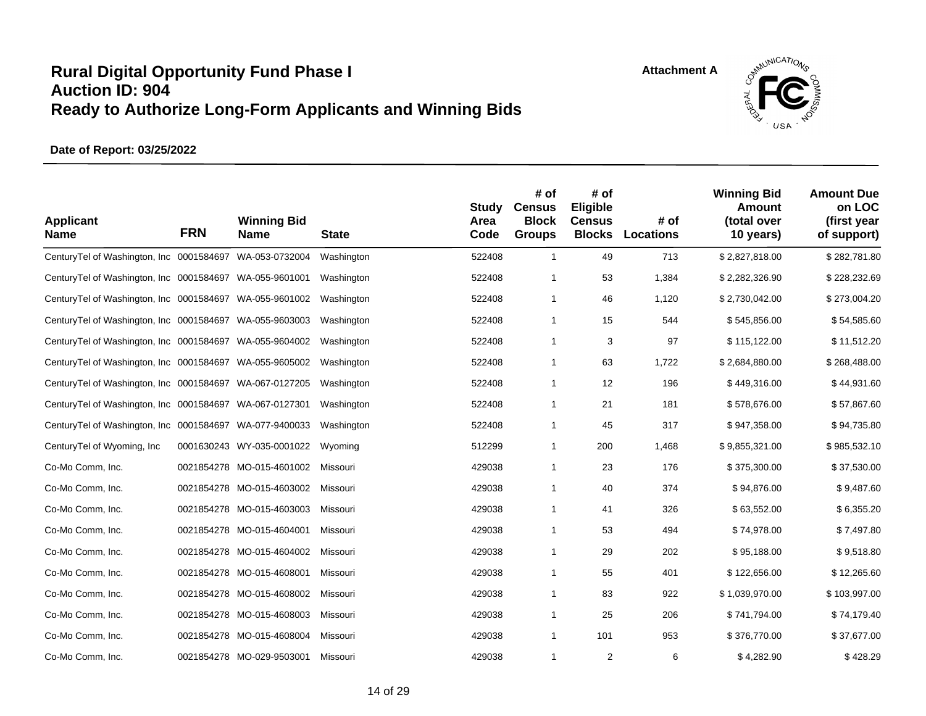



| <b>Applicant</b><br><b>Name</b>                          | <b>FRN</b> | <b>Winning Bid</b><br><b>Name</b> | <b>State</b> | <b>Study</b><br>Area<br>Code | # of<br><b>Census</b><br><b>Block</b><br><b>Groups</b> | # of<br>Eligible<br><b>Census</b><br><b>Blocks</b> | # of<br><b>Locations</b> | <b>Winning Bid</b><br><b>Amount</b><br>(total over<br>10 years) | <b>Amount Due</b><br>on LOC<br>(first year<br>of support) |
|----------------------------------------------------------|------------|-----------------------------------|--------------|------------------------------|--------------------------------------------------------|----------------------------------------------------|--------------------------|-----------------------------------------------------------------|-----------------------------------------------------------|
| CenturyTel of Washington, Inc 0001584697                 |            | WA-053-0732004                    | Washington   | 522408                       | $\mathbf{1}$                                           | 49                                                 | 713                      | \$2,827,818.00                                                  | \$282,781.80                                              |
| Century Tel of Washington, Inc 0001584697 WA-055-9601001 |            |                                   | Washington   | 522408                       | 1                                                      | 53                                                 | 1,384                    | \$2,282,326.90                                                  | \$228,232.69                                              |
| CenturyTel of Washington, Inc 0001584697 WA-055-9601002  |            |                                   | Washington   | 522408                       | 1                                                      | 46                                                 | 1,120                    | \$2,730,042.00                                                  | \$273,004.20                                              |
| CenturyTel of Washington, Inc 0001584697 WA-055-9603003  |            |                                   | Washington   | 522408                       | $\mathbf{1}$                                           | 15                                                 | 544                      | \$545,856.00                                                    | \$54,585.60                                               |
| Century Tel of Washington, Inc 0001584697 WA-055-9604002 |            |                                   | Washington   | 522408                       | 1                                                      | 3                                                  | 97                       | \$115,122.00                                                    | \$11,512.20                                               |
| CenturyTel of Washington, Inc 0001584697 WA-055-9605002  |            |                                   | Washington   | 522408                       | $\mathbf{1}$                                           | 63                                                 | 1,722                    | \$2,684,880.00                                                  | \$268,488.00                                              |
| Century Tel of Washington, Inc 0001584697 WA-067-0127205 |            |                                   | Washington   | 522408                       | $\mathbf{1}$                                           | 12                                                 | 196                      | \$449,316.00                                                    | \$44,931.60                                               |
| Century Tel of Washington, Inc 0001584697 WA-067-0127301 |            |                                   | Washington   | 522408                       | $\mathbf{1}$                                           | 21                                                 | 181                      | \$578,676.00                                                    | \$57,867.60                                               |
| CenturyTel of Washington, Inc 0001584697 WA-077-9400033  |            |                                   | Washington   | 522408                       | $\mathbf{1}$                                           | 45                                                 | 317                      | \$947,358.00                                                    | \$94,735.80                                               |
| CenturyTel of Wyoming, Inc.                              |            | 0001630243 WY-035-0001022         | Wyoming      | 512299                       | $\mathbf{1}$                                           | 200                                                | 1,468                    | \$9,855,321.00                                                  | \$985,532.10                                              |
| Co-Mo Comm, Inc.                                         |            | 0021854278 MO-015-4601002         | Missouri     | 429038                       | $\mathbf 1$                                            | 23                                                 | 176                      | \$375,300.00                                                    | \$37,530.00                                               |
| Co-Mo Comm, Inc.                                         |            | 0021854278 MO-015-4603002         | Missouri     | 429038                       | 1                                                      | 40                                                 | 374                      | \$94,876.00                                                     | \$9,487.60                                                |
| Co-Mo Comm, Inc.                                         |            | 0021854278 MO-015-4603003         | Missouri     | 429038                       | 1                                                      | 41                                                 | 326                      | \$63,552.00                                                     | \$6,355.20                                                |
| Co-Mo Comm, Inc.                                         |            | 0021854278 MO-015-4604001         | Missouri     | 429038                       | 1                                                      | 53                                                 | 494                      | \$74,978.00                                                     | \$7,497.80                                                |
| Co-Mo Comm, Inc.                                         |            | 0021854278 MO-015-4604002         | Missouri     | 429038                       | 1                                                      | 29                                                 | 202                      | \$95,188.00                                                     | \$9,518.80                                                |
| Co-Mo Comm, Inc.                                         |            | 0021854278 MO-015-4608001         | Missouri     | 429038                       | 1                                                      | 55                                                 | 401                      | \$122,656.00                                                    | \$12,265.60                                               |
| Co-Mo Comm, Inc.                                         |            | 0021854278 MO-015-4608002         | Missouri     | 429038                       | 1                                                      | 83                                                 | 922                      | \$1,039,970.00                                                  | \$103,997.00                                              |
| Co-Mo Comm, Inc.                                         |            | 0021854278 MO-015-4608003         | Missouri     | 429038                       | 1                                                      | 25                                                 | 206                      | \$741,794.00                                                    | \$74,179.40                                               |
| Co-Mo Comm, Inc.                                         |            | 0021854278 MO-015-4608004         | Missouri     | 429038                       | $\mathbf{1}$                                           | 101                                                | 953                      | \$376,770.00                                                    | \$37,677.00                                               |
| Co-Mo Comm, Inc.                                         |            | 0021854278 MO-029-9503001         | Missouri     | 429038                       | 1                                                      | 2                                                  | 6                        | \$4,282.90                                                      | \$428.29                                                  |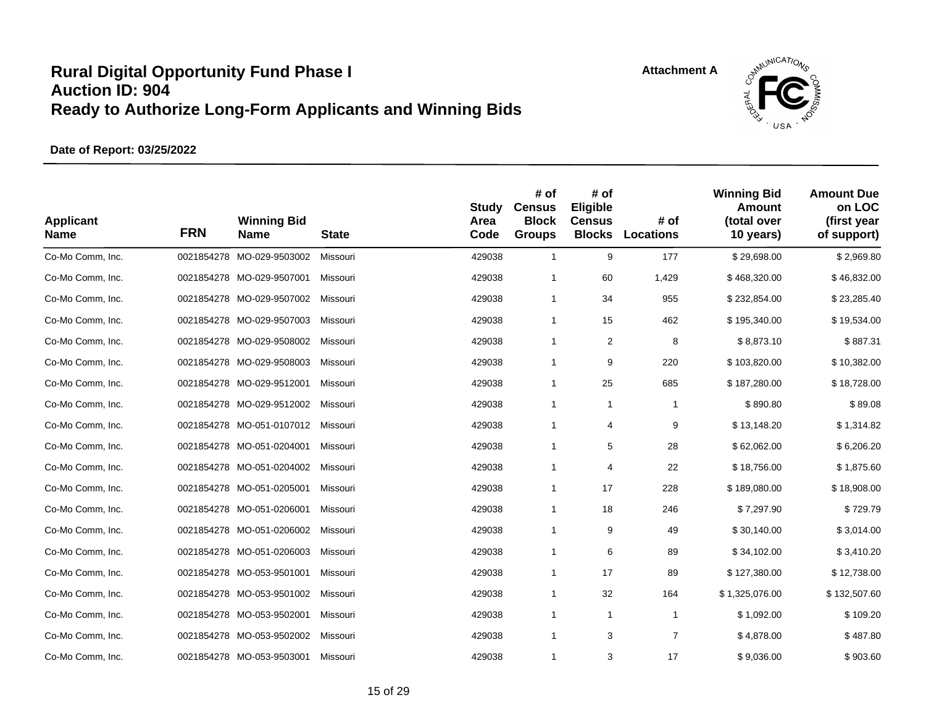

| <b>Applicant</b><br><b>Name</b> | <b>FRN</b> | <b>Winning Bid</b><br>Name | <b>State</b> | Study<br>Area<br>Code | # of<br><b>Census</b><br><b>Block</b><br><b>Groups</b> | # of<br>Eligible<br><b>Census</b><br><b>Blocks</b> | # of<br>Locations | <b>Winning Bid</b><br>Amount<br>(total over<br>10 years) | <b>Amount Due</b><br>on LOC<br>(first year<br>of support) |
|---------------------------------|------------|----------------------------|--------------|-----------------------|--------------------------------------------------------|----------------------------------------------------|-------------------|----------------------------------------------------------|-----------------------------------------------------------|
| Co-Mo Comm, Inc.                |            | 0021854278 MO-029-9503002  | Missouri     | 429038                | $\mathbf{1}$                                           | 9                                                  | 177               | \$29,698.00                                              | \$2,969.80                                                |
| Co-Mo Comm, Inc.                |            | 0021854278 MO-029-9507001  | Missouri     | 429038                | $\mathbf{1}$                                           | 60                                                 | 1,429             | \$468,320.00                                             | \$46,832.00                                               |
| Co-Mo Comm, Inc.                |            | 0021854278 MO-029-9507002  | Missouri     | 429038                | $\mathbf{1}$                                           | 34                                                 | 955               | \$232,854.00                                             | \$23,285.40                                               |
| Co-Mo Comm, Inc.                |            | 0021854278 MO-029-9507003  | Missouri     | 429038                | $\mathbf{1}$                                           | 15                                                 | 462               | \$195,340.00                                             | \$19,534.00                                               |
| Co-Mo Comm, Inc.                |            | 0021854278 MO-029-9508002  | Missouri     | 429038                | $\mathbf{1}$                                           | 2                                                  | 8                 | \$8,873.10                                               | \$887.31                                                  |
| Co-Mo Comm, Inc.                |            | 0021854278 MO-029-9508003  | Missouri     | 429038                | $\mathbf{1}$                                           | 9                                                  | 220               | \$103,820.00                                             | \$10,382.00                                               |
| Co-Mo Comm, Inc.                |            | 0021854278 MO-029-9512001  | Missouri     | 429038                | $\mathbf{1}$                                           | 25                                                 | 685               | \$187,280.00                                             | \$18,728.00                                               |
| Co-Mo Comm, Inc.                |            | 0021854278 MO-029-9512002  | Missouri     | 429038                | $\mathbf{1}$                                           | $\mathbf{1}$                                       | -1                | \$890.80                                                 | \$89.08                                                   |
| Co-Mo Comm, Inc.                |            | 0021854278 MO-051-0107012  | Missouri     | 429038                | $\mathbf{1}$                                           | 4                                                  | 9                 | \$13,148.20                                              | \$1,314.82                                                |
| Co-Mo Comm, Inc.                |            | 0021854278 MO-051-0204001  | Missouri     | 429038                | $\mathbf{1}$                                           | 5                                                  | 28                | \$62,062.00                                              | \$6,206.20                                                |
| Co-Mo Comm, Inc.                |            | 0021854278 MO-051-0204002  | Missouri     | 429038                | $\mathbf{1}$                                           | 4                                                  | 22                | \$18,756.00                                              | \$1,875.60                                                |
| Co-Mo Comm, Inc.                |            | 0021854278 MO-051-0205001  | Missouri     | 429038                | $\mathbf{1}$                                           | 17                                                 | 228               | \$189,080.00                                             | \$18,908.00                                               |
| Co-Mo Comm, Inc.                |            | 0021854278 MO-051-0206001  | Missouri     | 429038                | $\mathbf{1}$                                           | 18                                                 | 246               | \$7,297.90                                               | \$729.79                                                  |
| Co-Mo Comm, Inc.                |            | 0021854278 MO-051-0206002  | Missouri     | 429038                | $\mathbf{1}$                                           | 9                                                  | 49                | \$30,140.00                                              | \$3,014.00                                                |
| Co-Mo Comm, Inc.                |            | 0021854278 MO-051-0206003  | Missouri     | 429038                | $\mathbf{1}$                                           | 6                                                  | 89                | \$34,102.00                                              | \$3,410.20                                                |
| Co-Mo Comm, Inc.                |            | 0021854278 MO-053-9501001  | Missouri     | 429038                | $\mathbf{1}$                                           | 17                                                 | 89                | \$127,380.00                                             | \$12,738.00                                               |
| Co-Mo Comm, Inc.                |            | 0021854278 MO-053-9501002  | Missouri     | 429038                | $\mathbf{1}$                                           | 32                                                 | 164               | \$1,325,076.00                                           | \$132,507.60                                              |
| Co-Mo Comm, Inc.                |            | 0021854278 MO-053-9502001  | Missouri     | 429038                | $\mathbf{1}$                                           | $\mathbf{1}$                                       | $\mathbf{1}$      | \$1,092.00                                               | \$109.20                                                  |
| Co-Mo Comm, Inc.                |            | 0021854278 MO-053-9502002  | Missouri     | 429038                | $\mathbf{1}$                                           | 3                                                  | $\overline{7}$    | \$4,878.00                                               | \$487.80                                                  |
| Co-Mo Comm, Inc.                |            | 0021854278 MO-053-9503001  | Missouri     | 429038                | 1                                                      | 3                                                  | 17                | \$9,036.00                                               | \$903.60                                                  |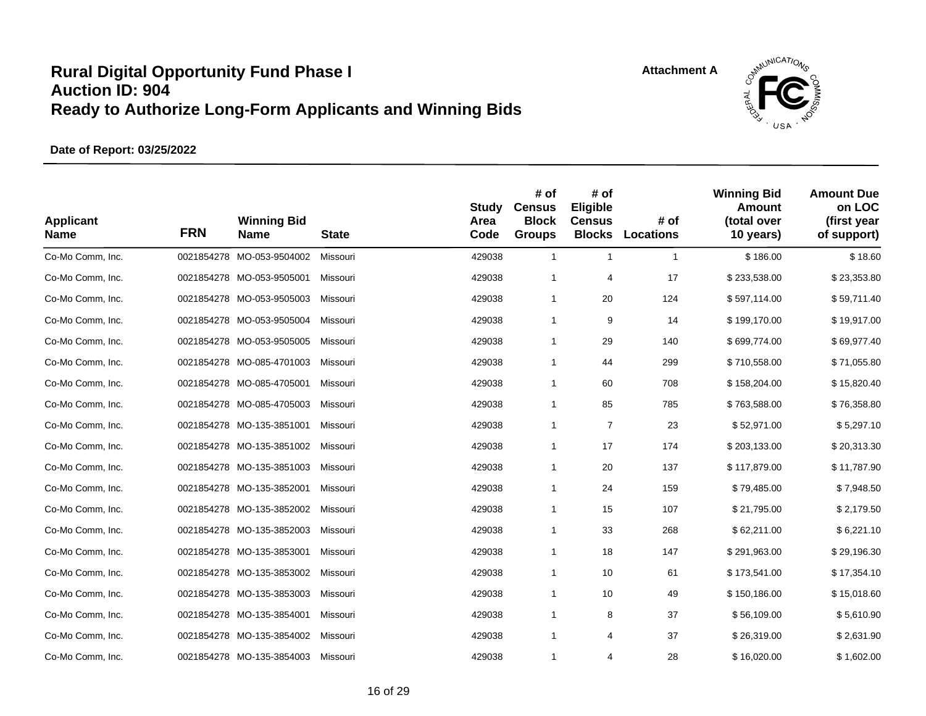

| <b>Applicant</b><br><b>Name</b> | <b>FRN</b> | <b>Winning Bid</b><br><b>Name</b> | <b>State</b> | <b>Study</b><br>Area<br>Code | # of<br><b>Census</b><br><b>Block</b><br><b>Groups</b> | # of<br>Eligible<br><b>Census</b><br><b>Blocks</b> | # of<br><b>Locations</b> | <b>Winning Bid</b><br>Amount<br>(total over<br>10 years) | <b>Amount Due</b><br>on LOC<br>(first year<br>of support) |
|---------------------------------|------------|-----------------------------------|--------------|------------------------------|--------------------------------------------------------|----------------------------------------------------|--------------------------|----------------------------------------------------------|-----------------------------------------------------------|
| Co-Mo Comm, Inc.                |            | 0021854278 MO-053-9504002         | Missouri     | 429038                       | $\mathbf{1}$                                           | $\mathbf{1}$                                       | $\mathbf{1}$             | \$186.00                                                 | \$18.60                                                   |
| Co-Mo Comm, Inc.                |            | 0021854278 MO-053-9505001         | Missouri     | 429038                       | $\mathbf{1}$                                           | 4                                                  | 17                       | \$233,538.00                                             | \$23,353.80                                               |
| Co-Mo Comm, Inc.                |            | 0021854278 MO-053-9505003         | Missouri     | 429038                       | $\mathbf{1}$                                           | 20                                                 | 124                      | \$597,114.00                                             | \$59,711.40                                               |
| Co-Mo Comm, Inc.                |            | 0021854278 MO-053-9505004         | Missouri     | 429038                       | $\mathbf{1}$                                           | 9                                                  | 14                       | \$199,170.00                                             | \$19,917.00                                               |
| Co-Mo Comm, Inc.                |            | 0021854278 MO-053-9505005         | Missouri     | 429038                       | $\mathbf{1}$                                           | 29                                                 | 140                      | \$699,774.00                                             | \$69,977.40                                               |
| Co-Mo Comm, Inc.                |            | 0021854278 MO-085-4701003         | Missouri     | 429038                       | $\mathbf{1}$                                           | 44                                                 | 299                      | \$710,558.00                                             | \$71,055.80                                               |
| Co-Mo Comm, Inc.                |            | 0021854278 MO-085-4705001         | Missouri     | 429038                       | $\mathbf{1}$                                           | 60                                                 | 708                      | \$158,204.00                                             | \$15,820.40                                               |
| Co-Mo Comm, Inc.                |            | 0021854278 MO-085-4705003         | Missouri     | 429038                       | $\mathbf{1}$                                           | 85                                                 | 785                      | \$763,588.00                                             | \$76,358.80                                               |
| Co-Mo Comm, Inc.                |            | 0021854278 MO-135-3851001         | Missouri     | 429038                       | $\mathbf{1}$                                           | $\overline{7}$                                     | 23                       | \$52,971.00                                              | \$5,297.10                                                |
| Co-Mo Comm, Inc.                |            | 0021854278 MO-135-3851002         | Missouri     | 429038                       | $\mathbf{1}$                                           | 17                                                 | 174                      | \$203,133.00                                             | \$20,313.30                                               |
| Co-Mo Comm, Inc.                |            | 0021854278 MO-135-3851003         | Missouri     | 429038                       | $\mathbf{1}$                                           | 20                                                 | 137                      | \$117,879.00                                             | \$11,787.90                                               |
| Co-Mo Comm, Inc.                |            | 0021854278 MO-135-3852001         | Missouri     | 429038                       | $\mathbf{1}$                                           | 24                                                 | 159                      | \$79,485.00                                              | \$7,948.50                                                |
| Co-Mo Comm, Inc.                |            | 0021854278 MO-135-3852002         | Missouri     | 429038                       | $\mathbf{1}$                                           | 15                                                 | 107                      | \$21,795.00                                              | \$2,179.50                                                |
| Co-Mo Comm, Inc.                |            | 0021854278 MO-135-3852003         | Missouri     | 429038                       | $\mathbf{1}$                                           | 33                                                 | 268                      | \$62,211.00                                              | \$6,221.10                                                |
| Co-Mo Comm, Inc.                |            | 0021854278 MO-135-3853001         | Missouri     | 429038                       | $\mathbf{1}$                                           | 18                                                 | 147                      | \$291,963.00                                             | \$29,196.30                                               |
| Co-Mo Comm, Inc.                |            | 0021854278 MO-135-3853002         | Missouri     | 429038                       | $\mathbf{1}$                                           | 10                                                 | 61                       | \$173,541.00                                             | \$17,354.10                                               |
| Co-Mo Comm, Inc.                |            | 0021854278 MO-135-3853003         | Missouri     | 429038                       | $\mathbf{1}$                                           | 10                                                 | 49                       | \$150,186.00                                             | \$15,018.60                                               |
| Co-Mo Comm, Inc.                |            | 0021854278 MO-135-3854001         | Missouri     | 429038                       | $\mathbf{1}$                                           | 8                                                  | 37                       | \$56,109.00                                              | \$5,610.90                                                |
| Co-Mo Comm, Inc.                |            | 0021854278 MO-135-3854002         | Missouri     | 429038                       | $\mathbf{1}$                                           | 4                                                  | 37                       | \$26,319.00                                              | \$2,631.90                                                |
| Co-Mo Comm, Inc.                |            | 0021854278 MO-135-3854003         | Missouri     | 429038                       | $\mathbf{1}$                                           | 4                                                  | 28                       | \$16,020.00                                              | \$1,602.00                                                |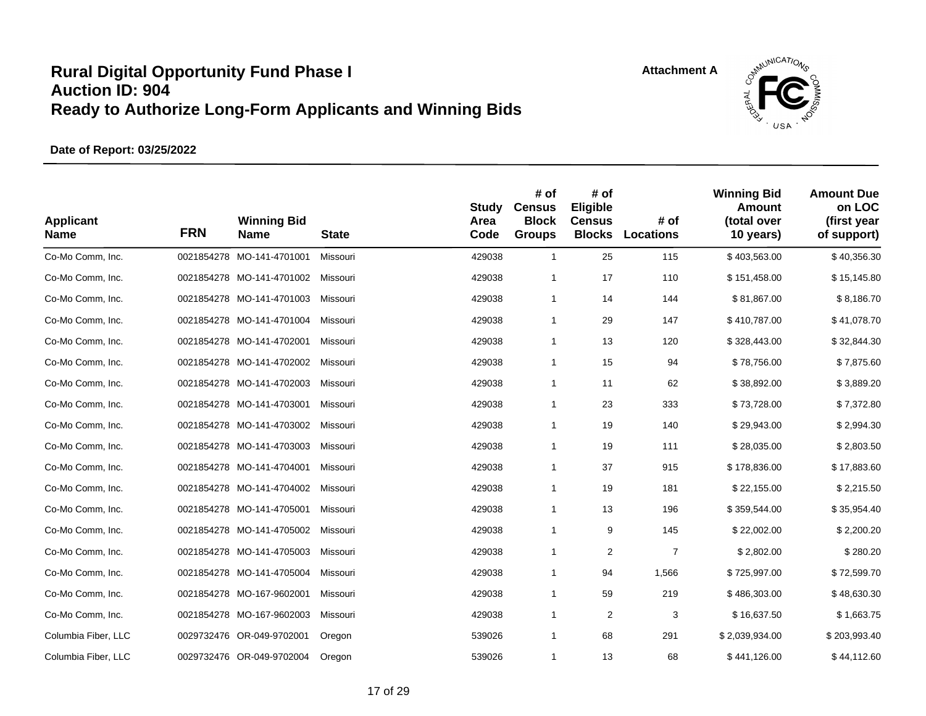

| <b>Applicant</b><br><b>Name</b> | <b>FRN</b> | <b>Winning Bid</b><br><b>Name</b> | <b>State</b> | <b>Study</b><br>Area<br>Code | # of<br><b>Census</b><br><b>Block</b><br><b>Groups</b> | # of<br>Eligible<br><b>Census</b><br><b>Blocks</b> | # of<br><b>Locations</b> | <b>Winning Bid</b><br>Amount<br>(total over<br>10 years) | <b>Amount Due</b><br>on LOC<br>(first year<br>of support) |
|---------------------------------|------------|-----------------------------------|--------------|------------------------------|--------------------------------------------------------|----------------------------------------------------|--------------------------|----------------------------------------------------------|-----------------------------------------------------------|
| Co-Mo Comm, Inc.                |            | 0021854278 MO-141-4701001         | Missouri     | 429038                       | $\mathbf{1}$                                           | 25                                                 | 115                      | \$403,563.00                                             | \$40,356.30                                               |
| Co-Mo Comm, Inc.                |            | 0021854278 MO-141-4701002         | Missouri     | 429038                       | $\mathbf{1}$                                           | 17                                                 | 110                      | \$151,458.00                                             | \$15,145.80                                               |
| Co-Mo Comm, Inc.                |            | 0021854278 MO-141-4701003         | Missouri     | 429038                       | $\mathbf{1}$                                           | 14                                                 | 144                      | \$81,867.00                                              | \$8,186.70                                                |
| Co-Mo Comm, Inc.                |            | 0021854278 MO-141-4701004         | Missouri     | 429038                       | $\mathbf{1}$                                           | 29                                                 | 147                      | \$410,787.00                                             | \$41,078.70                                               |
| Co-Mo Comm, Inc.                |            | 0021854278 MO-141-4702001         | Missouri     | 429038                       | $\mathbf{1}$                                           | 13                                                 | 120                      | \$328,443.00                                             | \$32,844.30                                               |
| Co-Mo Comm, Inc.                |            | 0021854278 MO-141-4702002         | Missouri     | 429038                       | $\mathbf{1}$                                           | 15                                                 | 94                       | \$78,756.00                                              | \$7,875.60                                                |
| Co-Mo Comm, Inc.                |            | 0021854278 MO-141-4702003         | Missouri     | 429038                       | $\mathbf{1}$                                           | 11                                                 | 62                       | \$38,892.00                                              | \$3,889.20                                                |
| Co-Mo Comm, Inc.                |            | 0021854278 MO-141-4703001         | Missouri     | 429038                       | $\mathbf{1}$                                           | 23                                                 | 333                      | \$73,728.00                                              | \$7,372.80                                                |
| Co-Mo Comm, Inc.                |            | 0021854278 MO-141-4703002         | Missouri     | 429038                       | $\mathbf{1}$                                           | 19                                                 | 140                      | \$29,943.00                                              | \$2,994.30                                                |
| Co-Mo Comm, Inc.                |            | 0021854278 MO-141-4703003         | Missouri     | 429038                       | $\mathbf{1}$                                           | 19                                                 | 111                      | \$28,035.00                                              | \$2,803.50                                                |
| Co-Mo Comm, Inc.                |            | 0021854278 MO-141-4704001         | Missouri     | 429038                       | $\mathbf{1}$                                           | 37                                                 | 915                      | \$178,836.00                                             | \$17,883.60                                               |
| Co-Mo Comm, Inc.                |            | 0021854278 MO-141-4704002         | Missouri     | 429038                       | $\mathbf{1}$                                           | 19                                                 | 181                      | \$22,155.00                                              | \$2,215.50                                                |
| Co-Mo Comm, Inc.                |            | 0021854278 MO-141-4705001         | Missouri     | 429038                       | $\mathbf{1}$                                           | 13                                                 | 196                      | \$359,544.00                                             | \$35,954.40                                               |
| Co-Mo Comm, Inc.                |            | 0021854278 MO-141-4705002         | Missouri     | 429038                       | $\mathbf{1}$                                           | 9                                                  | 145                      | \$22,002.00                                              | \$2,200.20                                                |
| Co-Mo Comm, Inc.                |            | 0021854278 MO-141-4705003         | Missouri     | 429038                       | $\mathbf{1}$                                           | 2                                                  | $\overline{7}$           | \$2,802.00                                               | \$280.20                                                  |
| Co-Mo Comm, Inc.                |            | 0021854278 MO-141-4705004         | Missouri     | 429038                       | $\mathbf{1}$                                           | 94                                                 | 1,566                    | \$725,997.00                                             | \$72,599.70                                               |
| Co-Mo Comm, Inc.                |            | 0021854278 MO-167-9602001         | Missouri     | 429038                       | $\mathbf{1}$                                           | 59                                                 | 219                      | \$486,303.00                                             | \$48,630.30                                               |
| Co-Mo Comm, Inc.                |            | 0021854278 MO-167-9602003         | Missouri     | 429038                       | $\mathbf{1}$                                           | 2                                                  | 3                        | \$16,637.50                                              | \$1,663.75                                                |
| Columbia Fiber, LLC             |            | 0029732476 OR-049-9702001         | Oregon       | 539026                       | $\mathbf{1}$                                           | 68                                                 | 291                      | \$2,039,934.00                                           | \$203,993.40                                              |
| Columbia Fiber, LLC             |            | 0029732476 OR-049-9702004         | Oregon       | 539026                       | $\mathbf{1}$                                           | 13                                                 | 68                       | \$441,126.00                                             | \$44,112.60                                               |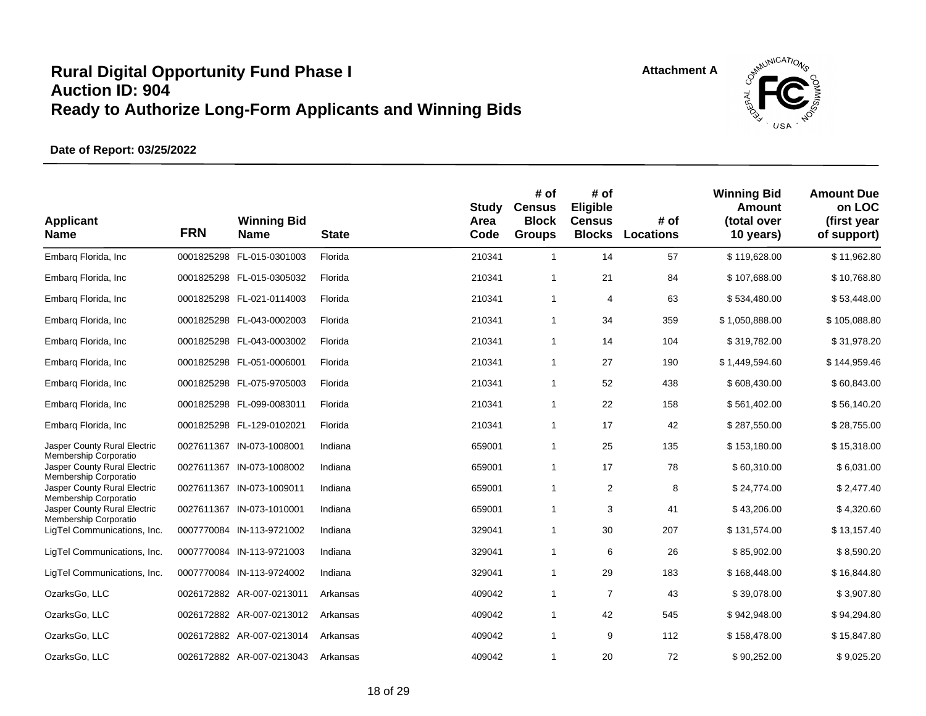

| <b>Applicant</b><br><b>Name</b>                       | <b>FRN</b> | <b>Winning Bid</b><br><b>Name</b> | <b>State</b> | Study<br>Area<br>Code | # of<br><b>Census</b><br><b>Block</b><br><b>Groups</b> | # of<br>Eligible<br><b>Census</b><br><b>Blocks</b> | # of<br>Locations | <b>Winning Bid</b><br>Amount<br>(total over<br>10 years) | <b>Amount Due</b><br>on LOC<br>(first year<br>of support) |
|-------------------------------------------------------|------------|-----------------------------------|--------------|-----------------------|--------------------------------------------------------|----------------------------------------------------|-------------------|----------------------------------------------------------|-----------------------------------------------------------|
| Embarq Florida, Inc                                   |            | 0001825298 FL-015-0301003         | Florida      | 210341                | $\mathbf{1}$                                           | 14                                                 | 57                | \$119,628.00                                             | \$11,962.80                                               |
| Embarg Florida, Inc.                                  |            | 0001825298 FL-015-0305032         | Florida      | 210341                | 1                                                      | 21                                                 | 84                | \$107,688.00                                             | \$10,768.80                                               |
| Embarg Florida, Inc.                                  |            | 0001825298 FL-021-0114003         | Florida      | 210341                | 1                                                      | 4                                                  | 63                | \$534,480.00                                             | \$53,448.00                                               |
| Embarg Florida, Inc.                                  |            | 0001825298 FL-043-0002003         | Florida      | 210341                | 1                                                      | 34                                                 | 359               | \$1,050,888.00                                           | \$105,088.80                                              |
| Embarg Florida, Inc.                                  |            | 0001825298 FL-043-0003002         | Florida      | 210341                | 1                                                      | 14                                                 | 104               | \$319,782.00                                             | \$31,978.20                                               |
| Embarq Florida, Inc                                   |            | 0001825298 FL-051-0006001         | Florida      | 210341                | 1                                                      | 27                                                 | 190               | \$1,449,594.60                                           | \$144,959.46                                              |
| Embarg Florida, Inc.                                  |            | 0001825298 FL-075-9705003         | Florida      | 210341                | 1                                                      | 52                                                 | 438               | \$608,430.00                                             | \$60,843.00                                               |
| Embarg Florida, Inc.                                  |            | 0001825298 FL-099-0083011         | Florida      | 210341                | 1                                                      | 22                                                 | 158               | \$561,402.00                                             | \$56,140.20                                               |
| Embarg Florida, Inc.                                  |            | 0001825298 FL-129-0102021         | Florida      | 210341                | 1                                                      | 17                                                 | 42                | \$287,550.00                                             | \$28,755.00                                               |
| Jasper County Rural Electric                          |            | 0027611367 IN-073-1008001         | Indiana      | 659001                | 1                                                      | 25                                                 | 135               | \$153,180.00                                             | \$15,318.00                                               |
| Membership Corporatio<br>Jasper County Rural Electric |            | 0027611367 IN-073-1008002         | Indiana      | 659001                | 1                                                      | 17                                                 | 78                | \$60,310.00                                              | \$6,031.00                                                |
| Membership Corporatio<br>Jasper County Rural Electric |            | 0027611367 IN-073-1009011         | Indiana      | 659001                | 1                                                      | $\overline{2}$                                     | 8                 | \$24,774.00                                              | \$2,477.40                                                |
| Membership Corporatio<br>Jasper County Rural Electric |            | 0027611367 IN-073-1010001         | Indiana      | 659001                | 1                                                      | 3                                                  | 41                | \$43,206.00                                              | \$4,320.60                                                |
| Membership Corporatio<br>LigTel Communications, Inc.  |            | 0007770084 IN-113-9721002         | Indiana      | 329041                | $\mathbf{1}$                                           | 30                                                 | 207               | \$131,574.00                                             | \$13,157.40                                               |
| LigTel Communications, Inc.                           |            | 0007770084 IN-113-9721003         | Indiana      | 329041                | 1                                                      | 6                                                  | 26                | \$85,902.00                                              | \$8,590.20                                                |
| LigTel Communications, Inc.                           |            | 0007770084 IN-113-9724002         | Indiana      | 329041                | 1                                                      | 29                                                 | 183               | \$168,448.00                                             | \$16,844.80                                               |
| OzarksGo, LLC                                         |            | 0026172882 AR-007-0213011         | Arkansas     | 409042                | $\mathbf{1}$                                           | $\overline{7}$                                     | 43                | \$39,078.00                                              | \$3,907.80                                                |
| OzarksGo, LLC                                         |            | 0026172882 AR-007-0213012         | Arkansas     | 409042                | 1                                                      | 42                                                 | 545               | \$942,948.00                                             | \$94,294.80                                               |
| OzarksGo, LLC                                         |            | 0026172882 AR-007-0213014         | Arkansas     | 409042                | 1                                                      | 9                                                  | 112               | \$158,478.00                                             | \$15,847.80                                               |
| OzarksGo, LLC                                         |            | 0026172882 AR-007-0213043         | Arkansas     | 409042                | 1                                                      | 20                                                 | 72                | \$90,252.00                                              | \$9,025.20                                                |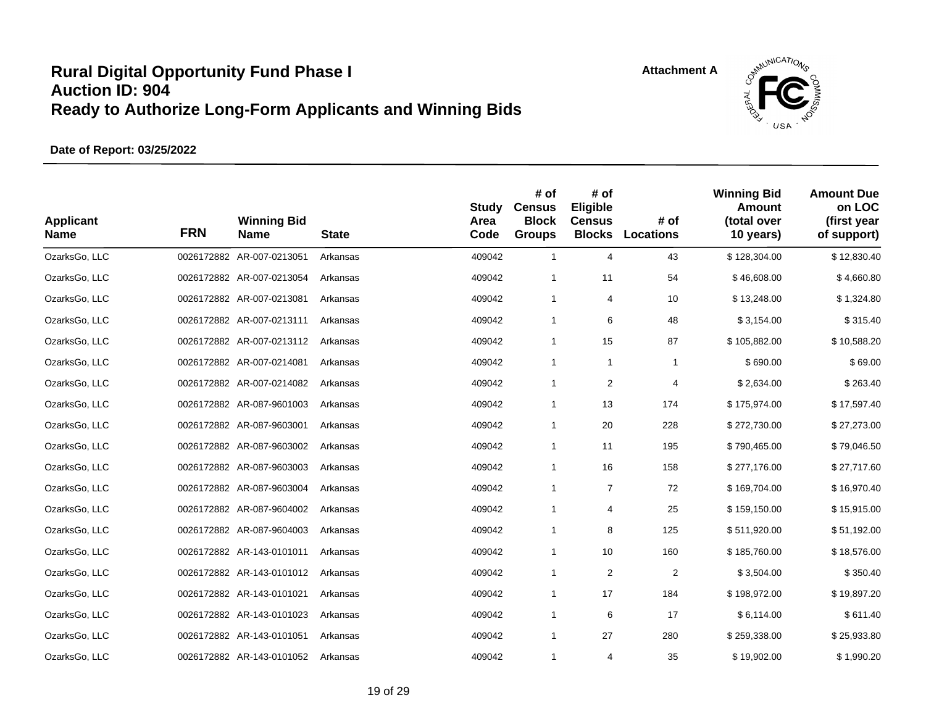



| <b>Applicant</b><br><b>Name</b> | <b>FRN</b> | <b>Winning Bid</b><br>Name | <b>State</b> | <b>Study</b><br>Area<br>Code | # of<br><b>Census</b><br><b>Block</b><br><b>Groups</b> | # of<br>Eligible<br><b>Census</b><br><b>Blocks</b> | # of<br><b>Locations</b> | <b>Winning Bid</b><br>Amount<br>(total over<br>10 years) | <b>Amount Due</b><br>on LOC<br>(first year<br>of support) |
|---------------------------------|------------|----------------------------|--------------|------------------------------|--------------------------------------------------------|----------------------------------------------------|--------------------------|----------------------------------------------------------|-----------------------------------------------------------|
| OzarksGo, LLC                   |            | 0026172882 AR-007-0213051  | Arkansas     | 409042                       | $\mathbf{1}$                                           | 4                                                  | 43                       | \$128,304.00                                             | \$12,830.40                                               |
| OzarksGo, LLC                   |            | 0026172882 AR-007-0213054  | Arkansas     | 409042                       | $\mathbf{1}$                                           | 11                                                 | 54                       | \$46,608.00                                              | \$4,660.80                                                |
| OzarksGo, LLC                   |            | 0026172882 AR-007-0213081  | Arkansas     | 409042                       | $\mathbf{1}$                                           | 4                                                  | 10                       | \$13,248.00                                              | \$1,324.80                                                |
| OzarksGo, LLC                   |            | 0026172882 AR-007-0213111  | Arkansas     | 409042                       | $\mathbf{1}$                                           | 6                                                  | 48                       | \$3,154.00                                               | \$315.40                                                  |
| OzarksGo, LLC                   |            | 0026172882 AR-007-0213112  | Arkansas     | 409042                       | $\mathbf{1}$                                           | 15                                                 | 87                       | \$105,882.00                                             | \$10,588.20                                               |
| OzarksGo, LLC                   |            | 0026172882 AR-007-0214081  | Arkansas     | 409042                       | $\mathbf{1}$                                           | $\mathbf{1}$                                       | $\mathbf{1}$             | \$690.00                                                 | \$69.00                                                   |
| OzarksGo, LLC                   |            | 0026172882 AR-007-0214082  | Arkansas     | 409042                       | $\mathbf{1}$                                           | 2                                                  | 4                        | \$2,634.00                                               | \$263.40                                                  |
| OzarksGo, LLC                   |            | 0026172882 AR-087-9601003  | Arkansas     | 409042                       | $\mathbf{1}$                                           | 13                                                 | 174                      | \$175,974.00                                             | \$17,597.40                                               |
| OzarksGo, LLC                   |            | 0026172882 AR-087-9603001  | Arkansas     | 409042                       | $\mathbf{1}$                                           | 20                                                 | 228                      | \$272,730.00                                             | \$27,273.00                                               |
| OzarksGo, LLC                   |            | 0026172882 AR-087-9603002  | Arkansas     | 409042                       | $\mathbf{1}$                                           | 11                                                 | 195                      | \$790,465.00                                             | \$79,046.50                                               |
| OzarksGo, LLC                   |            | 0026172882 AR-087-9603003  | Arkansas     | 409042                       | $\mathbf{1}$                                           | 16                                                 | 158                      | \$277,176.00                                             | \$27,717.60                                               |
| OzarksGo, LLC                   |            | 0026172882 AR-087-9603004  | Arkansas     | 409042                       | $\mathbf{1}$                                           | $\overline{7}$                                     | 72                       | \$169,704.00                                             | \$16,970.40                                               |
| OzarksGo, LLC                   |            | 0026172882 AR-087-9604002  | Arkansas     | 409042                       | $\mathbf{1}$                                           | 4                                                  | 25                       | \$159,150.00                                             | \$15,915.00                                               |
| OzarksGo, LLC                   |            | 0026172882 AR-087-9604003  | Arkansas     | 409042                       | $\mathbf{1}$                                           | 8                                                  | 125                      | \$511,920.00                                             | \$51,192.00                                               |
| OzarksGo, LLC                   |            | 0026172882 AR-143-0101011  | Arkansas     | 409042                       | $\mathbf{1}$                                           | 10                                                 | 160                      | \$185,760.00                                             | \$18,576.00                                               |
| OzarksGo, LLC                   |            | 0026172882 AR-143-0101012  | Arkansas     | 409042                       | $\mathbf{1}$                                           | 2                                                  | $\overline{2}$           | \$3,504.00                                               | \$350.40                                                  |
| OzarksGo, LLC                   |            | 0026172882 AR-143-0101021  | Arkansas     | 409042                       | $\mathbf{1}$                                           | 17                                                 | 184                      | \$198,972.00                                             | \$19,897.20                                               |
| OzarksGo, LLC                   |            | 0026172882 AR-143-0101023  | Arkansas     | 409042                       | $\mathbf{1}$                                           | 6                                                  | 17                       | \$6,114.00                                               | \$611.40                                                  |
| OzarksGo, LLC                   |            | 0026172882 AR-143-0101051  | Arkansas     | 409042                       | $\mathbf{1}$                                           | 27                                                 | 280                      | \$259,338.00                                             | \$25,933.80                                               |
| OzarksGo, LLC                   |            | 0026172882 AR-143-0101052  | Arkansas     | 409042                       | $\mathbf{1}$                                           | 4                                                  | 35                       | \$19,902.00                                              | \$1,990.20                                                |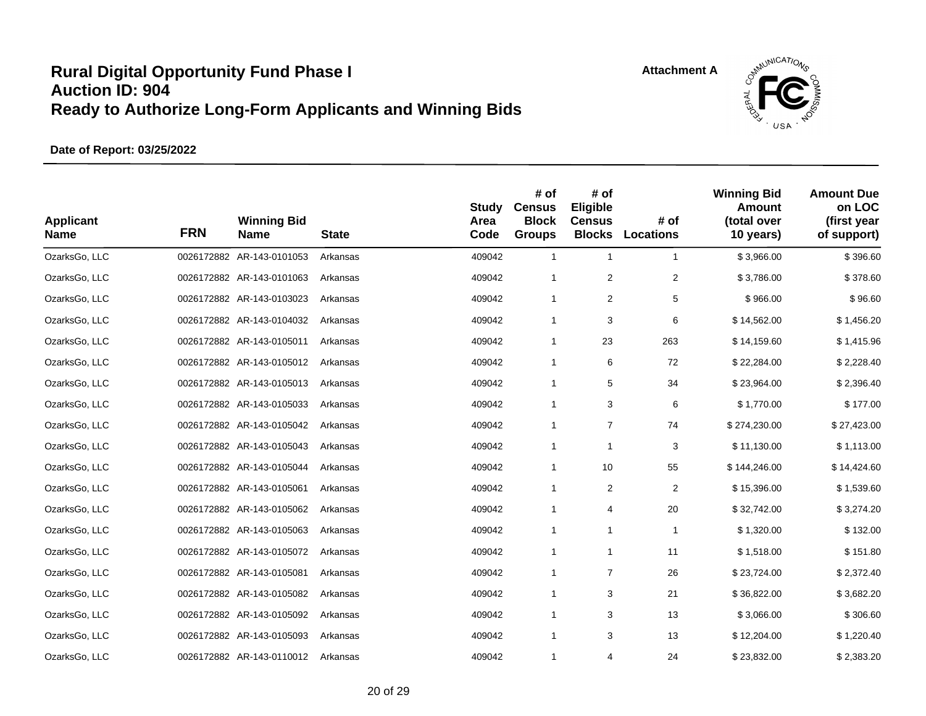



| <b>Applicant</b><br><b>Name</b> | <b>FRN</b> | <b>Winning Bid</b><br><b>Name</b> | <b>State</b> | <b>Study</b><br>Area<br>Code | # of<br><b>Census</b><br><b>Block</b><br><b>Groups</b> | # of<br><b>Eligible</b><br><b>Census</b><br><b>Blocks</b> | # of<br><b>Locations</b> | <b>Winning Bid</b><br>Amount<br>(total over<br>10 years) | <b>Amount Due</b><br>on LOC<br>(first year<br>of support) |
|---------------------------------|------------|-----------------------------------|--------------|------------------------------|--------------------------------------------------------|-----------------------------------------------------------|--------------------------|----------------------------------------------------------|-----------------------------------------------------------|
| OzarksGo, LLC                   |            | 0026172882 AR-143-0101053         | Arkansas     | 409042                       | $\mathbf{1}$                                           | $\mathbf{1}$                                              | $\mathbf{1}$             | \$3,966.00                                               | \$396.60                                                  |
| OzarksGo, LLC                   |            | 0026172882 AR-143-0101063         | Arkansas     | 409042                       | $\mathbf{1}$                                           | 2                                                         | $\overline{2}$           | \$3,786.00                                               | \$378.60                                                  |
| OzarksGo, LLC                   |            | 0026172882 AR-143-0103023         | Arkansas     | 409042                       | $\mathbf{1}$                                           | 2                                                         | 5                        | \$966.00                                                 | \$96.60                                                   |
| OzarksGo, LLC                   |            | 0026172882 AR-143-0104032         | Arkansas     | 409042                       | $\mathbf{1}$                                           | 3                                                         | 6                        | \$14,562.00                                              | \$1,456.20                                                |
| OzarksGo, LLC                   |            | 0026172882 AR-143-0105011         | Arkansas     | 409042                       | $\mathbf{1}$                                           | 23                                                        | 263                      | \$14,159.60                                              | \$1,415.96                                                |
| OzarksGo, LLC                   |            | 0026172882 AR-143-0105012         | Arkansas     | 409042                       | $\mathbf{1}$                                           | 6                                                         | 72                       | \$22,284.00                                              | \$2,228.40                                                |
| OzarksGo, LLC                   |            | 0026172882 AR-143-0105013         | Arkansas     | 409042                       | 1                                                      | 5                                                         | 34                       | \$23,964.00                                              | \$2,396.40                                                |
| OzarksGo, LLC                   |            | 0026172882 AR-143-0105033         | Arkansas     | 409042                       | $\mathbf{1}$                                           | 3                                                         | 6                        | \$1,770.00                                               | \$177.00                                                  |
| OzarksGo, LLC                   |            | 0026172882 AR-143-0105042         | Arkansas     | 409042                       | $\mathbf{1}$                                           | $\overline{7}$                                            | 74                       | \$274,230.00                                             | \$27,423.00                                               |
| OzarksGo, LLC                   |            | 0026172882 AR-143-0105043         | Arkansas     | 409042                       | $\mathbf{1}$                                           | $\mathbf{1}$                                              | 3                        | \$11,130.00                                              | \$1,113.00                                                |
| OzarksGo, LLC                   |            | 0026172882 AR-143-0105044         | Arkansas     | 409042                       | $\mathbf{1}$                                           | 10                                                        | 55                       | \$144,246.00                                             | \$14,424.60                                               |
| OzarksGo, LLC                   |            | 0026172882 AR-143-0105061         | Arkansas     | 409042                       | $\mathbf{1}$                                           | 2                                                         | $\overline{c}$           | \$15,396.00                                              | \$1,539.60                                                |
| OzarksGo, LLC                   |            | 0026172882 AR-143-0105062         | Arkansas     | 409042                       | $\mathbf{1}$                                           | 4                                                         | 20                       | \$32,742.00                                              | \$3,274.20                                                |
| OzarksGo, LLC                   |            | 0026172882 AR-143-0105063         | Arkansas     | 409042                       | $\mathbf{1}$                                           | $\mathbf{1}$                                              | $\mathbf{1}$             | \$1,320.00                                               | \$132.00                                                  |
| OzarksGo, LLC                   |            | 0026172882 AR-143-0105072         | Arkansas     | 409042                       | $\mathbf{1}$                                           | $\mathbf{1}$                                              | 11                       | \$1,518.00                                               | \$151.80                                                  |
| OzarksGo, LLC                   |            | 0026172882 AR-143-0105081         | Arkansas     | 409042                       | $\mathbf{1}$                                           | $\overline{7}$                                            | 26                       | \$23,724.00                                              | \$2,372.40                                                |
| OzarksGo, LLC                   |            | 0026172882 AR-143-0105082         | Arkansas     | 409042                       | $\mathbf{1}$                                           | 3                                                         | 21                       | \$36,822.00                                              | \$3,682.20                                                |
| OzarksGo, LLC                   |            | 0026172882 AR-143-0105092         | Arkansas     | 409042                       | $\mathbf{1}$                                           | 3                                                         | 13                       | \$3,066.00                                               | \$306.60                                                  |
| OzarksGo, LLC                   |            | 0026172882 AR-143-0105093         | Arkansas     | 409042                       | $\mathbf{1}$                                           | 3                                                         | 13                       | \$12,204.00                                              | \$1,220.40                                                |
| OzarksGo, LLC                   |            | 0026172882 AR-143-0110012         | Arkansas     | 409042                       | 1                                                      | 4                                                         | 24                       | \$23,832.00                                              | \$2,383.20                                                |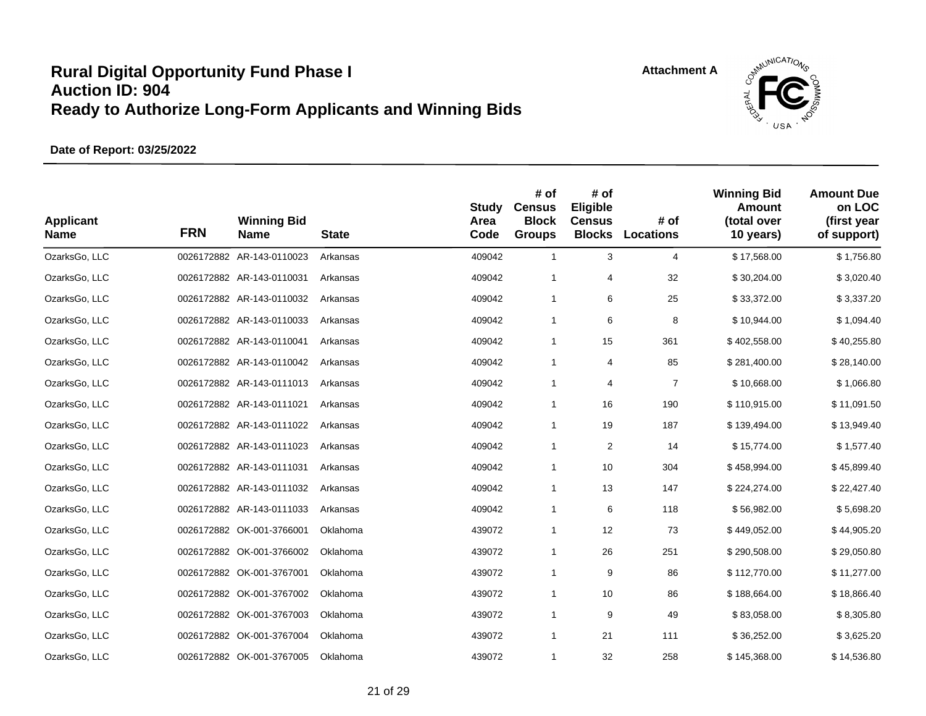



| <b>Applicant</b><br><b>Name</b> | <b>FRN</b> | <b>Winning Bid</b><br>Name | <b>State</b> | <b>Study</b><br>Area<br>Code | # of<br><b>Census</b><br><b>Block</b><br><b>Groups</b> | # of<br>Eligible<br><b>Census</b><br><b>Blocks</b> | # of<br>Locations | <b>Winning Bid</b><br>Amount<br>(total over<br>10 years) | <b>Amount Due</b><br>on LOC<br>(first year<br>of support) |
|---------------------------------|------------|----------------------------|--------------|------------------------------|--------------------------------------------------------|----------------------------------------------------|-------------------|----------------------------------------------------------|-----------------------------------------------------------|
| OzarksGo, LLC                   |            | 0026172882 AR-143-0110023  | Arkansas     | 409042                       | $\mathbf{1}$                                           | 3                                                  | 4                 | \$17,568.00                                              | \$1,756.80                                                |
| OzarksGo, LLC                   |            | 0026172882 AR-143-0110031  | Arkansas     | 409042                       | $\mathbf{1}$                                           | 4                                                  | 32                | \$30,204.00                                              | \$3,020.40                                                |
| OzarksGo, LLC                   |            | 0026172882 AR-143-0110032  | Arkansas     | 409042                       | $\mathbf{1}$                                           | 6                                                  | 25                | \$33,372.00                                              | \$3,337.20                                                |
| OzarksGo, LLC                   |            | 0026172882 AR-143-0110033  | Arkansas     | 409042                       | $\mathbf{1}$                                           | 6                                                  | 8                 | \$10,944.00                                              | \$1,094.40                                                |
| OzarksGo, LLC                   |            | 0026172882 AR-143-0110041  | Arkansas     | 409042                       | $\mathbf{1}$                                           | 15                                                 | 361               | \$402,558.00                                             | \$40,255.80                                               |
| OzarksGo, LLC                   |            | 0026172882 AR-143-0110042  | Arkansas     | 409042                       | $\mathbf{1}$                                           | 4                                                  | 85                | \$281,400.00                                             | \$28,140.00                                               |
| OzarksGo, LLC                   |            | 0026172882 AR-143-0111013  | Arkansas     | 409042                       | $\mathbf{1}$                                           | 4                                                  | $\overline{7}$    | \$10,668.00                                              | \$1,066.80                                                |
| OzarksGo, LLC                   |            | 0026172882 AR-143-0111021  | Arkansas     | 409042                       | $\mathbf{1}$                                           | 16                                                 | 190               | \$110,915.00                                             | \$11,091.50                                               |
| OzarksGo, LLC                   |            | 0026172882 AR-143-0111022  | Arkansas     | 409042                       | $\mathbf{1}$                                           | 19                                                 | 187               | \$139,494.00                                             | \$13,949.40                                               |
| OzarksGo, LLC                   |            | 0026172882 AR-143-0111023  | Arkansas     | 409042                       | $\mathbf{1}$                                           | $\overline{c}$                                     | 14                | \$15,774.00                                              | \$1,577.40                                                |
| OzarksGo, LLC                   |            | 0026172882 AR-143-0111031  | Arkansas     | 409042                       | $\mathbf{1}$                                           | 10                                                 | 304               | \$458,994.00                                             | \$45,899.40                                               |
| OzarksGo, LLC                   |            | 0026172882 AR-143-0111032  | Arkansas     | 409042                       | $\mathbf{1}$                                           | 13                                                 | 147               | \$224,274.00                                             | \$22,427.40                                               |
| OzarksGo, LLC                   |            | 0026172882 AR-143-0111033  | Arkansas     | 409042                       | $\mathbf{1}$                                           | 6                                                  | 118               | \$56,982.00                                              | \$5,698.20                                                |
| OzarksGo, LLC                   |            | 0026172882 OK-001-3766001  | Oklahoma     | 439072                       | $\mathbf{1}$                                           | 12                                                 | 73                | \$449,052.00                                             | \$44,905.20                                               |
| OzarksGo, LLC                   |            | 0026172882 OK-001-3766002  | Oklahoma     | 439072                       | $\mathbf{1}$                                           | 26                                                 | 251               | \$290,508.00                                             | \$29,050.80                                               |
| OzarksGo, LLC                   |            | 0026172882 OK-001-3767001  | Oklahoma     | 439072                       | $\mathbf{1}$                                           | 9                                                  | 86                | \$112,770.00                                             | \$11,277.00                                               |
| OzarksGo, LLC                   |            | 0026172882 OK-001-3767002  | Oklahoma     | 439072                       | $\mathbf{1}$                                           | 10                                                 | 86                | \$188,664.00                                             | \$18,866.40                                               |
| OzarksGo, LLC                   |            | 0026172882 OK-001-3767003  | Oklahoma     | 439072                       | $\mathbf{1}$                                           | 9                                                  | 49                | \$83,058.00                                              | \$8,305.80                                                |
| OzarksGo, LLC                   |            | 0026172882 OK-001-3767004  | Oklahoma     | 439072                       | $\mathbf{1}$                                           | 21                                                 | 111               | \$36,252.00                                              | \$3,625.20                                                |
| OzarksGo, LLC                   |            | 0026172882 OK-001-3767005  | Oklahoma     | 439072                       | $\mathbf{1}$                                           | 32                                                 | 258               | \$145,368.00                                             | \$14,536.80                                               |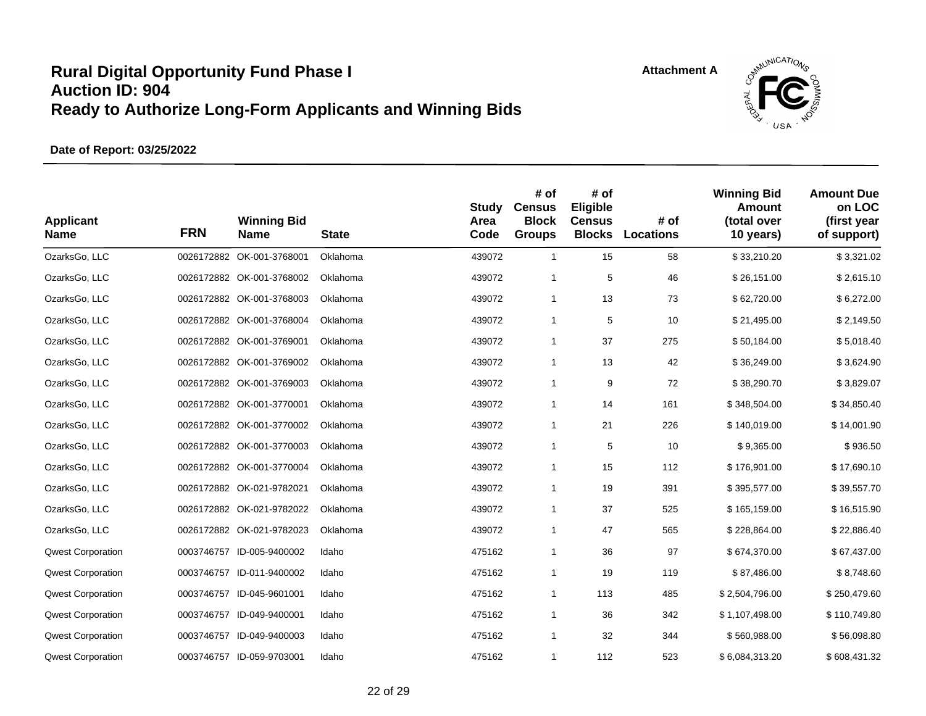



| <b>Applicant</b><br><b>Name</b> | <b>FRN</b> | <b>Winning Bid</b><br><b>Name</b> | <b>State</b> | <b>Study</b><br>Area<br>Code | # of<br><b>Census</b><br><b>Block</b><br><b>Groups</b> | # of<br>Eligible<br><b>Census</b><br><b>Blocks</b> | # of<br><b>Locations</b> | <b>Winning Bid</b><br>Amount<br>(total over<br>10 years) | <b>Amount Due</b><br>on LOC<br>(first year<br>of support) |
|---------------------------------|------------|-----------------------------------|--------------|------------------------------|--------------------------------------------------------|----------------------------------------------------|--------------------------|----------------------------------------------------------|-----------------------------------------------------------|
| OzarksGo, LLC                   |            | 0026172882 OK-001-3768001         | Oklahoma     | 439072                       | $\mathbf{1}$                                           | 15                                                 | 58                       | \$33,210.20                                              | \$3,321.02                                                |
| OzarksGo, LLC                   |            | 0026172882 OK-001-3768002         | Oklahoma     | 439072                       | $\mathbf{1}$                                           | 5                                                  | 46                       | \$26,151.00                                              | \$2,615.10                                                |
| OzarksGo, LLC                   |            | 0026172882 OK-001-3768003         | Oklahoma     | 439072                       | $\mathbf{1}$                                           | 13                                                 | 73                       | \$62,720.00                                              | \$6,272.00                                                |
| OzarksGo, LLC                   |            | 0026172882 OK-001-3768004         | Oklahoma     | 439072                       | $\mathbf{1}$                                           | 5                                                  | 10                       | \$21,495.00                                              | \$2,149.50                                                |
| OzarksGo, LLC                   |            | 0026172882 OK-001-3769001         | Oklahoma     | 439072                       | $\mathbf{1}$                                           | 37                                                 | 275                      | \$50,184.00                                              | \$5,018.40                                                |
| OzarksGo, LLC                   |            | 0026172882 OK-001-3769002         | Oklahoma     | 439072                       | $\mathbf{1}$                                           | 13                                                 | 42                       | \$36,249.00                                              | \$3,624.90                                                |
| OzarksGo, LLC                   |            | 0026172882 OK-001-3769003         | Oklahoma     | 439072                       | $\mathbf{1}$                                           | 9                                                  | 72                       | \$38,290.70                                              | \$3,829.07                                                |
| OzarksGo, LLC                   |            | 0026172882 OK-001-3770001         | Oklahoma     | 439072                       | $\mathbf{1}$                                           | 14                                                 | 161                      | \$348,504.00                                             | \$34,850.40                                               |
| OzarksGo, LLC                   |            | 0026172882 OK-001-3770002         | Oklahoma     | 439072                       | $\mathbf{1}$                                           | 21                                                 | 226                      | \$140,019.00                                             | \$14,001.90                                               |
| OzarksGo, LLC                   |            | 0026172882 OK-001-3770003         | Oklahoma     | 439072                       | $\mathbf{1}$                                           | 5                                                  | 10                       | \$9,365.00                                               | \$936.50                                                  |
| OzarksGo, LLC                   |            | 0026172882 OK-001-3770004         | Oklahoma     | 439072                       | $\mathbf{1}$                                           | 15                                                 | 112                      | \$176,901.00                                             | \$17,690.10                                               |
| OzarksGo, LLC                   |            | 0026172882 OK-021-9782021         | Oklahoma     | 439072                       | $\mathbf{1}$                                           | 19                                                 | 391                      | \$395,577.00                                             | \$39,557.70                                               |
| OzarksGo, LLC                   |            | 0026172882 OK-021-9782022         | Oklahoma     | 439072                       | $\mathbf{1}$                                           | 37                                                 | 525                      | \$165,159.00                                             | \$16,515.90                                               |
| OzarksGo, LLC                   |            | 0026172882 OK-021-9782023         | Oklahoma     | 439072                       | $\mathbf{1}$                                           | 47                                                 | 565                      | \$228,864.00                                             | \$22,886.40                                               |
| <b>Qwest Corporation</b>        |            | 0003746757 ID-005-9400002         | Idaho        | 475162                       | $\mathbf{1}$                                           | 36                                                 | 97                       | \$674,370.00                                             | \$67,437.00                                               |
| <b>Qwest Corporation</b>        |            | 0003746757 ID-011-9400002         | Idaho        | 475162                       | $\mathbf{1}$                                           | 19                                                 | 119                      | \$87,486.00                                              | \$8,748.60                                                |
| <b>Qwest Corporation</b>        |            | 0003746757 ID-045-9601001         | Idaho        | 475162                       | $\mathbf{1}$                                           | 113                                                | 485                      | \$2,504,796.00                                           | \$250,479.60                                              |
| <b>Qwest Corporation</b>        |            | 0003746757 ID-049-9400001         | Idaho        | 475162                       | $\mathbf{1}$                                           | 36                                                 | 342                      | \$1,107,498.00                                           | \$110,749.80                                              |
| <b>Qwest Corporation</b>        |            | 0003746757 ID-049-9400003         | Idaho        | 475162                       | $\mathbf{1}$                                           | 32                                                 | 344                      | \$560,988.00                                             | \$56,098.80                                               |
| <b>Qwest Corporation</b>        |            | 0003746757 ID-059-9703001         | Idaho        | 475162                       | $\mathbf{1}$                                           | 112                                                | 523                      | \$6,084,313.20                                           | \$608,431.32                                              |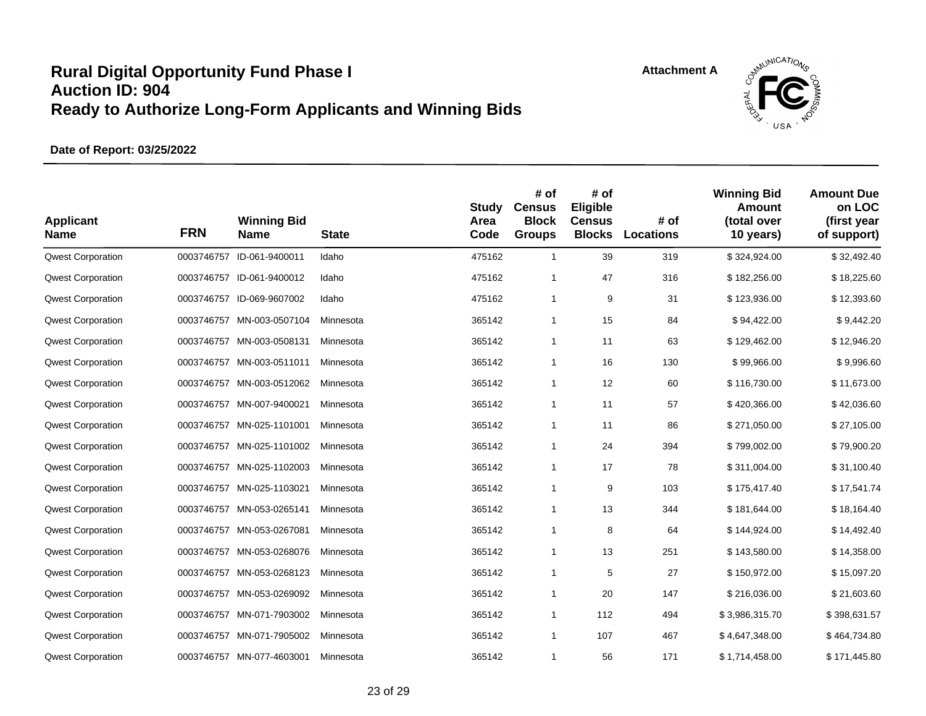

| <b>Applicant</b><br><b>Name</b> | <b>FRN</b> | <b>Winning Bid</b><br>Name | <b>State</b> | <b>Study</b><br>Area<br>Code | # of<br><b>Census</b><br><b>Block</b><br><b>Groups</b> | # of<br>Eligible<br><b>Census</b><br><b>Blocks</b> | # of<br>Locations | <b>Winning Bid</b><br>Amount<br>(total over<br>10 years) | <b>Amount Due</b><br>on LOC<br>(first year<br>of support) |
|---------------------------------|------------|----------------------------|--------------|------------------------------|--------------------------------------------------------|----------------------------------------------------|-------------------|----------------------------------------------------------|-----------------------------------------------------------|
| <b>Qwest Corporation</b>        |            | 0003746757 ID-061-9400011  | Idaho        | 475162                       | $\mathbf{1}$                                           | 39                                                 | 319               | \$324,924.00                                             | \$32,492.40                                               |
| <b>Qwest Corporation</b>        |            | 0003746757 ID-061-9400012  | Idaho        | 475162                       | $\mathbf{1}$                                           | 47                                                 | 316               | \$182,256.00                                             | \$18,225.60                                               |
| <b>Qwest Corporation</b>        |            | 0003746757 ID-069-9607002  | Idaho        | 475162                       | $\mathbf{1}$                                           | 9                                                  | 31                | \$123,936.00                                             | \$12,393.60                                               |
| <b>Qwest Corporation</b>        |            | 0003746757 MN-003-0507104  | Minnesota    | 365142                       | $\mathbf{1}$                                           | 15                                                 | 84                | \$94,422.00                                              | \$9,442.20                                                |
| <b>Qwest Corporation</b>        |            | 0003746757 MN-003-0508131  | Minnesota    | 365142                       | $\mathbf{1}$                                           | 11                                                 | 63                | \$129,462.00                                             | \$12,946.20                                               |
| <b>Qwest Corporation</b>        |            | 0003746757 MN-003-0511011  | Minnesota    | 365142                       | $\mathbf{1}$                                           | 16                                                 | 130               | \$99,966.00                                              | \$9,996.60                                                |
| <b>Qwest Corporation</b>        |            | 0003746757 MN-003-0512062  | Minnesota    | 365142                       | $\mathbf{1}$                                           | 12                                                 | 60                | \$116,730.00                                             | \$11,673.00                                               |
| <b>Qwest Corporation</b>        |            | 0003746757 MN-007-9400021  | Minnesota    | 365142                       | $\mathbf{1}$                                           | 11                                                 | 57                | \$420,366.00                                             | \$42,036.60                                               |
| <b>Qwest Corporation</b>        | 0003746757 | MN-025-1101001             | Minnesota    | 365142                       | $\mathbf{1}$                                           | 11                                                 | 86                | \$271,050.00                                             | \$27,105.00                                               |
| <b>Qwest Corporation</b>        |            | 0003746757 MN-025-1101002  | Minnesota    | 365142                       | $\mathbf{1}$                                           | 24                                                 | 394               | \$799,002.00                                             | \$79,900.20                                               |
| <b>Qwest Corporation</b>        |            | 0003746757 MN-025-1102003  | Minnesota    | 365142                       | $\mathbf{1}$                                           | 17                                                 | 78                | \$311,004.00                                             | \$31,100.40                                               |
| <b>Qwest Corporation</b>        |            | 0003746757 MN-025-1103021  | Minnesota    | 365142                       | $\mathbf{1}$                                           | 9                                                  | 103               | \$175,417.40                                             | \$17,541.74                                               |
| <b>Qwest Corporation</b>        |            | 0003746757 MN-053-0265141  | Minnesota    | 365142                       | $\mathbf{1}$                                           | 13                                                 | 344               | \$181,644.00                                             | \$18,164.40                                               |
| <b>Qwest Corporation</b>        | 0003746757 | MN-053-0267081             | Minnesota    | 365142                       | $\mathbf{1}$                                           | 8                                                  | 64                | \$144,924.00                                             | \$14,492.40                                               |
| <b>Qwest Corporation</b>        |            | 0003746757 MN-053-0268076  | Minnesota    | 365142                       | $\mathbf{1}$                                           | 13                                                 | 251               | \$143,580.00                                             | \$14,358.00                                               |
| <b>Qwest Corporation</b>        |            | 0003746757 MN-053-0268123  | Minnesota    | 365142                       | $\mathbf{1}$                                           | 5                                                  | 27                | \$150,972.00                                             | \$15,097.20                                               |
| <b>Qwest Corporation</b>        | 0003746757 | MN-053-0269092             | Minnesota    | 365142                       | $\mathbf{1}$                                           | 20                                                 | 147               | \$216,036.00                                             | \$21,603.60                                               |
| <b>Qwest Corporation</b>        |            | 0003746757 MN-071-7903002  | Minnesota    | 365142                       | $\mathbf{1}$                                           | 112                                                | 494               | \$3,986,315.70                                           | \$398,631.57                                              |
| <b>Qwest Corporation</b>        |            | 0003746757 MN-071-7905002  | Minnesota    | 365142                       | $\mathbf{1}$                                           | 107                                                | 467               | \$4,647,348.00                                           | \$464,734.80                                              |
| <b>Qwest Corporation</b>        |            | 0003746757 MN-077-4603001  | Minnesota    | 365142                       | $\mathbf{1}$                                           | 56                                                 | 171               | \$1,714,458.00                                           | \$171,445.80                                              |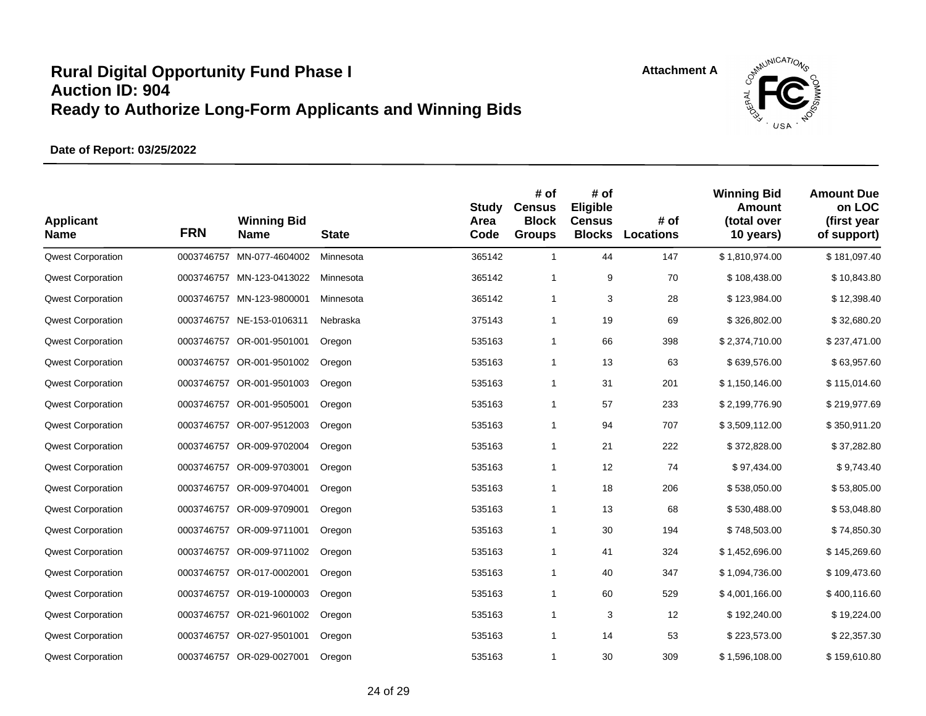

| <b>Applicant</b><br><b>Name</b> | <b>FRN</b> | <b>Winning Bid</b><br><b>Name</b> | <b>State</b> | Study<br>Area<br>Code | # of<br><b>Census</b><br><b>Block</b><br><b>Groups</b> | # of<br>Eligible<br><b>Census</b><br><b>Blocks</b> | # of<br><b>Locations</b> | <b>Winning Bid</b><br>Amount<br>(total over<br>10 years) | <b>Amount Due</b><br>on LOC<br>(first year<br>of support) |
|---------------------------------|------------|-----------------------------------|--------------|-----------------------|--------------------------------------------------------|----------------------------------------------------|--------------------------|----------------------------------------------------------|-----------------------------------------------------------|
| <b>Qwest Corporation</b>        | 0003746757 | MN-077-4604002                    | Minnesota    | 365142                | $\mathbf{1}$                                           | 44                                                 | 147                      | \$1,810,974.00                                           | \$181,097.40                                              |
| <b>Qwest Corporation</b>        |            | 0003746757 MN-123-0413022         | Minnesota    | 365142                | 1                                                      | 9                                                  | 70                       | \$108,438.00                                             | \$10,843.80                                               |
| <b>Qwest Corporation</b>        | 0003746757 | MN-123-9800001                    | Minnesota    | 365142                | $\mathbf{1}$                                           | 3                                                  | 28                       | \$123,984.00                                             | \$12,398.40                                               |
| <b>Qwest Corporation</b>        |            | 0003746757 NE-153-0106311         | Nebraska     | 375143                | $\mathbf{1}$                                           | 19                                                 | 69                       | \$326,802.00                                             | \$32,680.20                                               |
| <b>Qwest Corporation</b>        | 0003746757 | OR-001-9501001                    | Oregon       | 535163                | $\mathbf{1}$                                           | 66                                                 | 398                      | \$2,374,710.00                                           | \$237,471.00                                              |
| <b>Qwest Corporation</b>        | 0003746757 | OR-001-9501002                    | Oregon       | 535163                | $\mathbf{1}$                                           | 13                                                 | 63                       | \$639,576.00                                             | \$63,957.60                                               |
| <b>Qwest Corporation</b>        |            | 0003746757 OR-001-9501003         | Oregon       | 535163                | $\mathbf{1}$                                           | 31                                                 | 201                      | \$1,150,146.00                                           | \$115,014.60                                              |
| <b>Qwest Corporation</b>        | 0003746757 | OR-001-9505001                    | Oregon       | 535163                | $\mathbf{1}$                                           | 57                                                 | 233                      | \$2,199,776.90                                           | \$219,977.69                                              |
| <b>Qwest Corporation</b>        | 0003746757 | OR-007-9512003                    | Oregon       | 535163                | $\mathbf{1}$                                           | 94                                                 | 707                      | \$3,509,112.00                                           | \$350,911.20                                              |
| <b>Qwest Corporation</b>        |            | 0003746757 OR-009-9702004         | Oregon       | 535163                | $\mathbf{1}$                                           | 21                                                 | 222                      | \$372,828.00                                             | \$37,282.80                                               |
| <b>Qwest Corporation</b>        |            | 0003746757 OR-009-9703001         | Oregon       | 535163                | $\mathbf{1}$                                           | 12                                                 | 74                       | \$97,434.00                                              | \$9,743.40                                                |
| <b>Qwest Corporation</b>        |            | 0003746757 OR-009-9704001         | Oregon       | 535163                | $\mathbf{1}$                                           | 18                                                 | 206                      | \$538,050.00                                             | \$53,805.00                                               |
| <b>Qwest Corporation</b>        |            | 0003746757 OR-009-9709001         | Oregon       | 535163                | $\mathbf{1}$                                           | 13                                                 | 68                       | \$530,488.00                                             | \$53,048.80                                               |
| <b>Qwest Corporation</b>        |            | 0003746757 OR-009-9711001         | Oregon       | 535163                | $\mathbf{1}$                                           | 30                                                 | 194                      | \$748,503.00                                             | \$74,850.30                                               |
| <b>Qwest Corporation</b>        |            | 0003746757 OR-009-9711002         | Oregon       | 535163                | $\mathbf{1}$                                           | 41                                                 | 324                      | \$1,452,696.00                                           | \$145,269.60                                              |
| <b>Qwest Corporation</b>        |            | 0003746757 OR-017-0002001         | Oregon       | 535163                | $\mathbf{1}$                                           | 40                                                 | 347                      | \$1,094,736.00                                           | \$109,473.60                                              |
| <b>Qwest Corporation</b>        | 0003746757 | OR-019-1000003                    | Oregon       | 535163                | 1                                                      | 60                                                 | 529                      | \$4,001,166.00                                           | \$400,116.60                                              |
| <b>Qwest Corporation</b>        |            | 0003746757 OR-021-9601002         | Oregon       | 535163                | $\mathbf{1}$                                           | 3                                                  | 12                       | \$192,240.00                                             | \$19,224.00                                               |
| <b>Qwest Corporation</b>        |            | 0003746757 OR-027-9501001         | Oregon       | 535163                | $\mathbf{1}$                                           | 14                                                 | 53                       | \$223,573.00                                             | \$22,357.30                                               |
| <b>Qwest Corporation</b>        |            | 0003746757 OR-029-0027001         | Oregon       | 535163                | 1                                                      | 30                                                 | 309                      | \$1,596,108.00                                           | \$159,610.80                                              |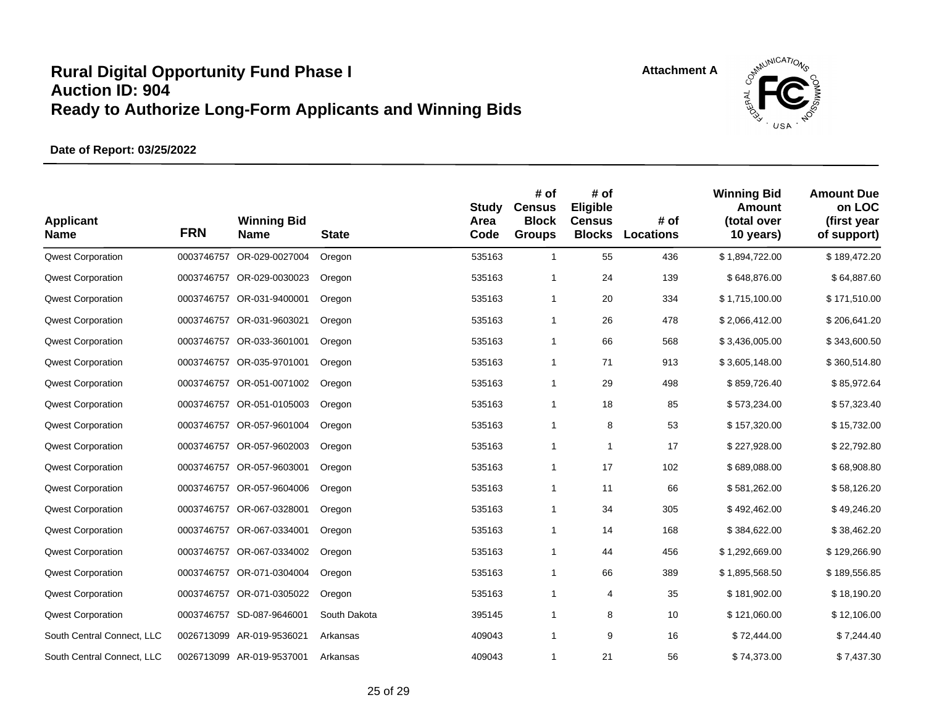

| <b>Applicant</b><br><b>Name</b> | <b>FRN</b> | <b>Winning Bid</b><br>Name | <b>State</b> | <b>Study</b><br>Area<br>Code | # of<br><b>Census</b><br><b>Block</b><br><b>Groups</b> | # of<br>Eligible<br><b>Census</b><br><b>Blocks</b> | # of<br>Locations | <b>Winning Bid</b><br>Amount<br>(total over<br>10 years) | <b>Amount Due</b><br>on LOC<br>(first year<br>of support) |
|---------------------------------|------------|----------------------------|--------------|------------------------------|--------------------------------------------------------|----------------------------------------------------|-------------------|----------------------------------------------------------|-----------------------------------------------------------|
| <b>Qwest Corporation</b>        | 0003746757 | OR-029-0027004             | Oregon       | 535163                       | $\mathbf{1}$                                           | 55                                                 | 436               | \$1,894,722.00                                           | \$189,472.20                                              |
| <b>Qwest Corporation</b>        |            | 0003746757 OR-029-0030023  | Oregon       | 535163                       | $\mathbf{1}$                                           | 24                                                 | 139               | \$648,876.00                                             | \$64,887.60                                               |
| <b>Qwest Corporation</b>        | 0003746757 | OR-031-9400001             | Oregon       | 535163                       | $\mathbf{1}$                                           | 20                                                 | 334               | \$1,715,100.00                                           | \$171,510.00                                              |
| <b>Qwest Corporation</b>        |            | 0003746757 OR-031-9603021  | Oregon       | 535163                       | $\mathbf{1}$                                           | 26                                                 | 478               | \$2,066,412.00                                           | \$206,641.20                                              |
| <b>Qwest Corporation</b>        |            | 0003746757 OR-033-3601001  | Oregon       | 535163                       | $\mathbf{1}$                                           | 66                                                 | 568               | \$3,436,005.00                                           | \$343,600.50                                              |
| <b>Qwest Corporation</b>        | 0003746757 | OR-035-9701001             | Oregon       | 535163                       | $\mathbf{1}$                                           | 71                                                 | 913               | \$3,605,148.00                                           | \$360,514.80                                              |
| <b>Qwest Corporation</b>        |            | 0003746757 OR-051-0071002  | Oregon       | 535163                       | $\mathbf{1}$                                           | 29                                                 | 498               | \$859,726.40                                             | \$85,972.64                                               |
| <b>Qwest Corporation</b>        | 0003746757 | OR-051-0105003             | Oregon       | 535163                       | $\mathbf{1}$                                           | 18                                                 | 85                | \$573,234.00                                             | \$57,323.40                                               |
| <b>Qwest Corporation</b>        | 0003746757 | OR-057-9601004             | Oregon       | 535163                       | $\mathbf{1}$                                           | 8                                                  | 53                | \$157,320.00                                             | \$15,732.00                                               |
| <b>Qwest Corporation</b>        |            | 0003746757 OR-057-9602003  | Oregon       | 535163                       | $\mathbf{1}$                                           | $\mathbf{1}$                                       | 17                | \$227,928.00                                             | \$22,792.80                                               |
| <b>Qwest Corporation</b>        |            | 0003746757 OR-057-9603001  | Oregon       | 535163                       | $\mathbf{1}$                                           | 17                                                 | 102               | \$689,088.00                                             | \$68,908.80                                               |
| <b>Qwest Corporation</b>        |            | 0003746757 OR-057-9604006  | Oregon       | 535163                       | $\mathbf{1}$                                           | 11                                                 | 66                | \$581,262.00                                             | \$58,126.20                                               |
| <b>Qwest Corporation</b>        |            | 0003746757 OR-067-0328001  | Oregon       | 535163                       | $\mathbf{1}$                                           | 34                                                 | 305               | \$492,462.00                                             | \$49,246.20                                               |
| <b>Qwest Corporation</b>        |            | 0003746757 OR-067-0334001  | Oregon       | 535163                       | $\mathbf{1}$                                           | 14                                                 | 168               | \$384,622.00                                             | \$38,462.20                                               |
| <b>Qwest Corporation</b>        |            | 0003746757 OR-067-0334002  | Oregon       | 535163                       | $\mathbf{1}$                                           | 44                                                 | 456               | \$1,292,669.00                                           | \$129,266.90                                              |
| <b>Qwest Corporation</b>        |            | 0003746757 OR-071-0304004  | Oregon       | 535163                       | $\mathbf{1}$                                           | 66                                                 | 389               | \$1,895,568.50                                           | \$189,556.85                                              |
| <b>Qwest Corporation</b>        | 0003746757 | OR-071-0305022             | Oregon       | 535163                       | $\mathbf{1}$                                           | 4                                                  | 35                | \$181,902.00                                             | \$18,190.20                                               |
| <b>Qwest Corporation</b>        |            | 0003746757 SD-087-9646001  | South Dakota | 395145                       | $\mathbf{1}$                                           | 8                                                  | 10                | \$121,060.00                                             | \$12,106.00                                               |
| South Central Connect, LLC      |            | 0026713099 AR-019-9536021  | Arkansas     | 409043                       | $\mathbf{1}$                                           | 9                                                  | 16                | \$72,444.00                                              | \$7,244.40                                                |
| South Central Connect, LLC      |            | 0026713099 AR-019-9537001  | Arkansas     | 409043                       | 1                                                      | 21                                                 | 56                | \$74,373.00                                              | \$7,437.30                                                |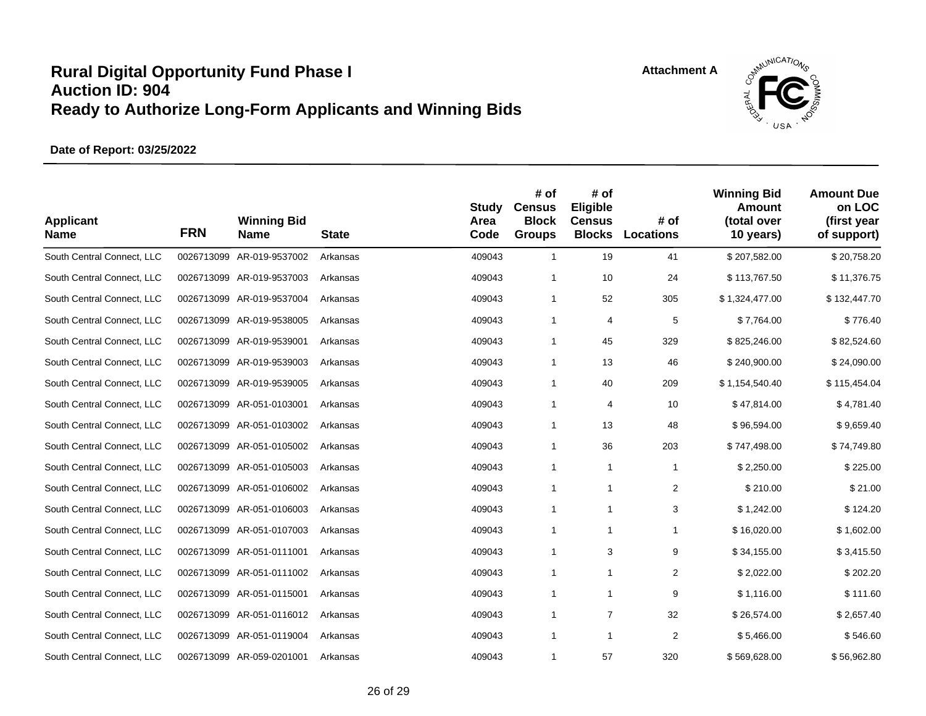



| <b>Applicant</b><br><b>Name</b> | <b>FRN</b> | <b>Winning Bid</b><br><b>Name</b> | <b>State</b> | Study<br>Area<br>Code | # of<br><b>Census</b><br><b>Block</b><br><b>Groups</b> | # of<br>Eligible<br><b>Census</b><br><b>Blocks</b> | # of<br><b>Locations</b> | <b>Winning Bid</b><br>Amount<br>(total over<br>10 years) | <b>Amount Due</b><br>on LOC<br>(first year<br>of support) |
|---------------------------------|------------|-----------------------------------|--------------|-----------------------|--------------------------------------------------------|----------------------------------------------------|--------------------------|----------------------------------------------------------|-----------------------------------------------------------|
| South Central Connect, LLC      |            | 0026713099 AR-019-9537002         | Arkansas     | 409043                | $\mathbf{1}$                                           | 19                                                 | 41                       | \$207,582.00                                             | \$20,758.20                                               |
| South Central Connect, LLC      |            | 0026713099 AR-019-9537003         | Arkansas     | 409043                | $\mathbf{1}$                                           | 10                                                 | 24                       | \$113,767.50                                             | \$11,376.75                                               |
| South Central Connect, LLC      |            | 0026713099 AR-019-9537004         | Arkansas     | 409043                | 1                                                      | 52                                                 | 305                      | \$1,324,477.00                                           | \$132,447.70                                              |
| South Central Connect, LLC      |            | 0026713099 AR-019-9538005         | Arkansas     | 409043                | $\mathbf{1}$                                           | 4                                                  | 5                        | \$7,764.00                                               | \$776.40                                                  |
| South Central Connect, LLC      |            | 0026713099 AR-019-9539001         | Arkansas     | 409043                | $\mathbf{1}$                                           | 45                                                 | 329                      | \$825,246.00                                             | \$82,524.60                                               |
| South Central Connect, LLC      |            | 0026713099 AR-019-9539003         | Arkansas     | 409043                | 1                                                      | 13                                                 | 46                       | \$240,900.00                                             | \$24,090.00                                               |
| South Central Connect, LLC      |            | 0026713099 AR-019-9539005         | Arkansas     | 409043                | $\mathbf{1}$                                           | 40                                                 | 209                      | \$1,154,540.40                                           | \$115,454.04                                              |
| South Central Connect, LLC      |            | 0026713099 AR-051-0103001         | Arkansas     | 409043                | $\mathbf{1}$                                           | 4                                                  | 10                       | \$47,814.00                                              | \$4,781.40                                                |
| South Central Connect, LLC      |            | 0026713099 AR-051-0103002         | Arkansas     | 409043                | $\mathbf{1}$                                           | 13                                                 | 48                       | \$96,594.00                                              | \$9,659.40                                                |
| South Central Connect, LLC      |            | 0026713099 AR-051-0105002         | Arkansas     | 409043                | $\mathbf{1}$                                           | 36                                                 | 203                      | \$747,498.00                                             | \$74,749.80                                               |
| South Central Connect, LLC      |            | 0026713099 AR-051-0105003         | Arkansas     | 409043                | $\mathbf{1}$                                           | $\mathbf{1}$                                       | -1                       | \$2,250.00                                               | \$225.00                                                  |
| South Central Connect, LLC      |            | 0026713099 AR-051-0106002         | Arkansas     | 409043                | 1                                                      | 1                                                  | $\overline{2}$           | \$210.00                                                 | \$21.00                                                   |
| South Central Connect, LLC      |            | 0026713099 AR-051-0106003         | Arkansas     | 409043                | $\mathbf{1}$                                           | $\mathbf{1}$                                       | 3                        | \$1,242.00                                               | \$124.20                                                  |
| South Central Connect, LLC      |            | 0026713099 AR-051-0107003         | Arkansas     | 409043                | 1                                                      | 1                                                  | 1                        | \$16,020.00                                              | \$1,602.00                                                |
| South Central Connect, LLC      |            | 0026713099 AR-051-0111001         | Arkansas     | 409043                | 1                                                      | 3                                                  | 9                        | \$34,155.00                                              | \$3,415.50                                                |
| South Central Connect, LLC      |            | 0026713099 AR-051-0111002         | Arkansas     | 409043                | $\mathbf{1}$                                           | 1                                                  | $\overline{2}$           | \$2,022.00                                               | \$202.20                                                  |
| South Central Connect, LLC      |            | 0026713099 AR-051-0115001         | Arkansas     | 409043                | 1                                                      | $\mathbf{1}$                                       | 9                        | \$1,116.00                                               | \$111.60                                                  |
| South Central Connect, LLC      |            | 0026713099 AR-051-0116012         | Arkansas     | 409043                | $\mathbf{1}$                                           | $\overline{7}$                                     | 32                       | \$26,574.00                                              | \$2,657.40                                                |
| South Central Connect, LLC      |            | 0026713099 AR-051-0119004         | Arkansas     | 409043                | $\mathbf{1}$                                           | $\mathbf{1}$                                       | 2                        | \$5,466.00                                               | \$546.60                                                  |
| South Central Connect, LLC      |            | 0026713099 AR-059-0201001         | Arkansas     | 409043                | 1                                                      | 57                                                 | 320                      | \$569,628.00                                             | \$56,962.80                                               |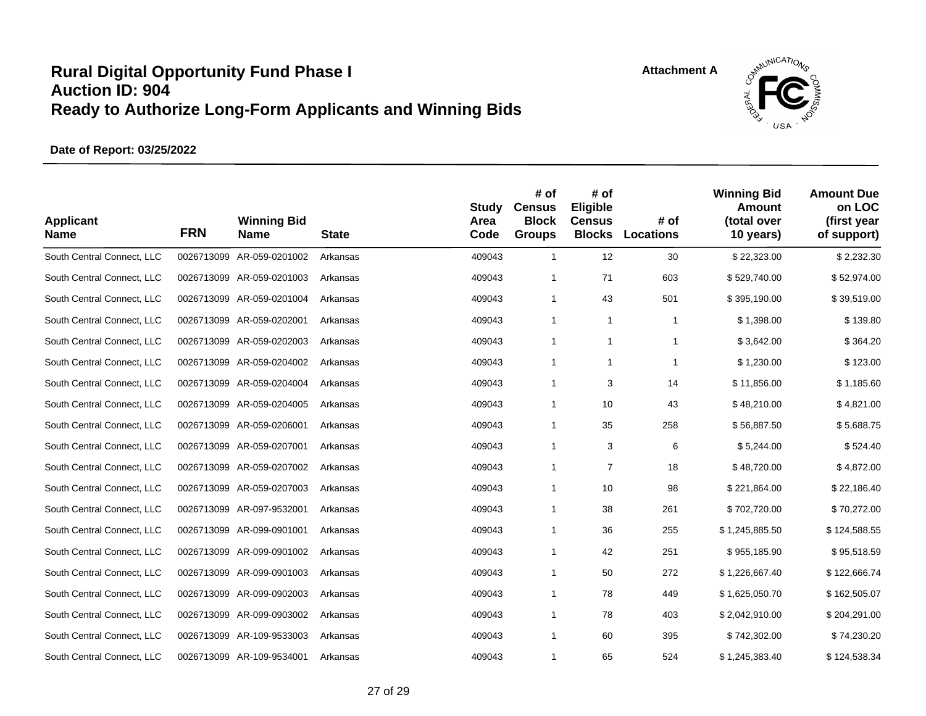



| <b>Applicant</b><br><b>Name</b> | <b>FRN</b> | <b>Winning Bid</b><br><b>Name</b> | <b>State</b> | <b>Study</b><br>Area<br>Code | # of<br><b>Census</b><br><b>Block</b><br><b>Groups</b> | # of<br>Eligible<br><b>Census</b><br><b>Blocks</b> | # of<br><b>Locations</b> | <b>Winning Bid</b><br>Amount<br>(total over<br>10 years) | <b>Amount Due</b><br>on LOC<br>(first year<br>of support) |
|---------------------------------|------------|-----------------------------------|--------------|------------------------------|--------------------------------------------------------|----------------------------------------------------|--------------------------|----------------------------------------------------------|-----------------------------------------------------------|
| South Central Connect, LLC      |            | 0026713099 AR-059-0201002         | Arkansas     | 409043                       | $\mathbf{1}$                                           | 12                                                 | 30                       | \$22,323.00                                              | \$2,232.30                                                |
| South Central Connect, LLC      |            | 0026713099 AR-059-0201003         | Arkansas     | 409043                       | $\mathbf{1}$                                           | 71                                                 | 603                      | \$529,740.00                                             | \$52,974.00                                               |
| South Central Connect, LLC      |            | 0026713099 AR-059-0201004         | Arkansas     | 409043                       | $\mathbf{1}$                                           | 43                                                 | 501                      | \$395,190.00                                             | \$39,519.00                                               |
| South Central Connect, LLC      |            | 0026713099 AR-059-0202001         | Arkansas     | 409043                       | 1                                                      | 1                                                  | 1                        | \$1,398.00                                               | \$139.80                                                  |
| South Central Connect, LLC      |            | 0026713099 AR-059-0202003         | Arkansas     | 409043                       | 1                                                      | $\mathbf{1}$                                       | $\overline{1}$           | \$3,642.00                                               | \$364.20                                                  |
| South Central Connect, LLC      |            | 0026713099 AR-059-0204002         | Arkansas     | 409043                       | 1                                                      | 1                                                  | 1                        | \$1,230.00                                               | \$123.00                                                  |
| South Central Connect, LLC      |            | 0026713099 AR-059-0204004         | Arkansas     | 409043                       | $\mathbf{1}$                                           | 3                                                  | 14                       | \$11,856.00                                              | \$1,185.60                                                |
| South Central Connect, LLC      |            | 0026713099 AR-059-0204005         | Arkansas     | 409043                       | $\mathbf{1}$                                           | 10                                                 | 43                       | \$48,210.00                                              | \$4,821.00                                                |
| South Central Connect, LLC      |            | 0026713099 AR-059-0206001         | Arkansas     | 409043                       | $\mathbf{1}$                                           | 35                                                 | 258                      | \$56,887.50                                              | \$5,688.75                                                |
| South Central Connect, LLC      |            | 0026713099 AR-059-0207001         | Arkansas     | 409043                       | $\mathbf{1}$                                           | 3                                                  | 6                        | \$5,244.00                                               | \$524.40                                                  |
| South Central Connect, LLC      |            | 0026713099 AR-059-0207002         | Arkansas     | 409043                       | $\mathbf{1}$                                           | $\overline{7}$                                     | 18                       | \$48,720.00                                              | \$4,872.00                                                |
| South Central Connect, LLC      |            | 0026713099 AR-059-0207003         | Arkansas     | 409043                       | 1                                                      | 10                                                 | 98                       | \$221,864.00                                             | \$22,186.40                                               |
| South Central Connect, LLC      |            | 0026713099 AR-097-9532001         | Arkansas     | 409043                       | $\mathbf{1}$                                           | 38                                                 | 261                      | \$702,720.00                                             | \$70,272.00                                               |
| South Central Connect, LLC      |            | 0026713099 AR-099-0901001         | Arkansas     | 409043                       | $\mathbf{1}$                                           | 36                                                 | 255                      | \$1,245,885.50                                           | \$124,588.55                                              |
| South Central Connect, LLC      |            | 0026713099 AR-099-0901002         | Arkansas     | 409043                       | 1                                                      | 42                                                 | 251                      | \$955,185.90                                             | \$95,518.59                                               |
| South Central Connect, LLC      |            | 0026713099 AR-099-0901003         | Arkansas     | 409043                       | $\mathbf{1}$                                           | 50                                                 | 272                      | \$1,226,667.40                                           | \$122,666.74                                              |
| South Central Connect, LLC      |            | 0026713099 AR-099-0902003         | Arkansas     | 409043                       | $\mathbf{1}$                                           | 78                                                 | 449                      | \$1,625,050.70                                           | \$162,505.07                                              |
| South Central Connect, LLC      |            | 0026713099 AR-099-0903002         | Arkansas     | 409043                       | $\mathbf{1}$                                           | 78                                                 | 403                      | \$2,042,910.00                                           | \$204,291.00                                              |
| South Central Connect, LLC      |            | 0026713099 AR-109-9533003         | Arkansas     | 409043                       | $\mathbf{1}$                                           | 60                                                 | 395                      | \$742,302.00                                             | \$74,230.20                                               |
| South Central Connect, LLC      |            | 0026713099 AR-109-9534001         | Arkansas     | 409043                       | 1                                                      | 65                                                 | 524                      | \$1,245,383.40                                           | \$124,538.34                                              |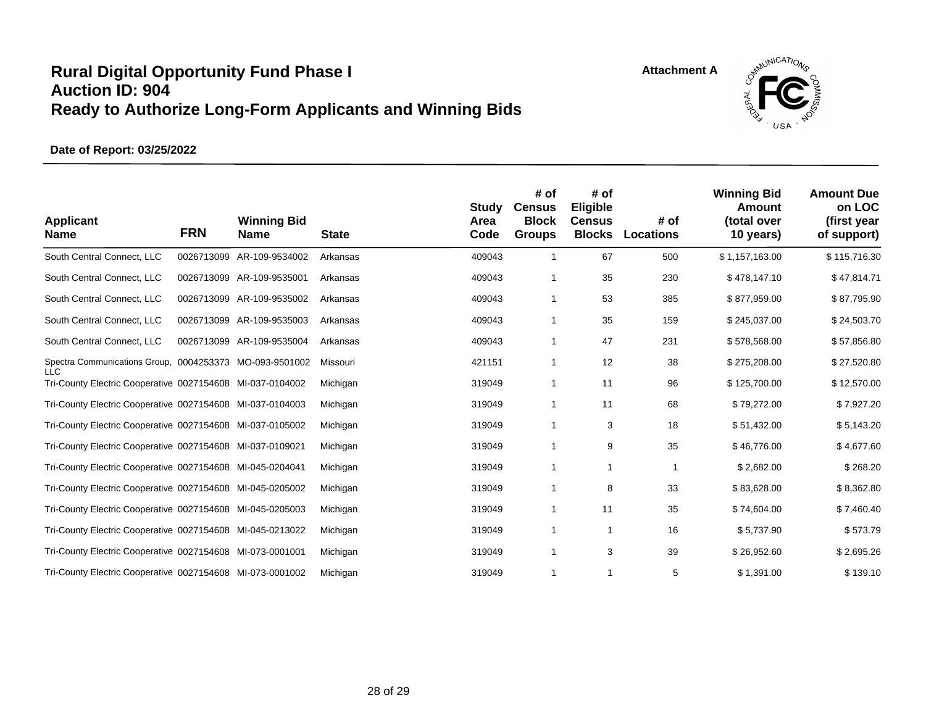



| <b>Applicant</b><br><b>Name</b>                                         | <b>FRN</b> | <b>Winning Bid</b><br><b>Name</b> | <b>State</b> | Study<br>Area<br>Code | # of<br><b>Census</b><br><b>Block</b><br><b>Groups</b> | # of<br><b>Eligible</b><br><b>Census</b><br><b>Blocks</b> | # of<br><b>Locations</b> | <b>Winning Bid</b><br>Amount<br>(total over<br>10 years) | <b>Amount Due</b><br>on LOC<br>(first year<br>of support) |
|-------------------------------------------------------------------------|------------|-----------------------------------|--------------|-----------------------|--------------------------------------------------------|-----------------------------------------------------------|--------------------------|----------------------------------------------------------|-----------------------------------------------------------|
| South Central Connect, LLC                                              | 0026713099 | AR-109-9534002                    | Arkansas     | 409043                | 1                                                      | 67                                                        | 500                      | \$1,157,163.00                                           | \$115,716.30                                              |
| South Central Connect, LLC                                              |            | 0026713099 AR-109-9535001         | Arkansas     | 409043                | 1                                                      | 35                                                        | 230                      | \$478,147.10                                             | \$47,814.71                                               |
| South Central Connect, LLC                                              |            | 0026713099 AR-109-9535002         | Arkansas     | 409043                | 1                                                      | 53                                                        | 385                      | \$877,959.00                                             | \$87,795.90                                               |
| South Central Connect, LLC                                              |            | 0026713099 AR-109-9535003         | Arkansas     | 409043                | 1                                                      | 35                                                        | 159                      | \$245,037.00                                             | \$24,503.70                                               |
| South Central Connect, LLC                                              |            | 0026713099 AR-109-9535004         | Arkansas     | 409043                | 1                                                      | 47                                                        | 231                      | \$578,568.00                                             | \$57,856.80                                               |
| Spectra Communications Group, 0004253373 MO-093-9501002                 |            |                                   | Missouri     | 421151                | 1                                                      | 12                                                        | 38                       | \$275,208.00                                             | \$27,520.80                                               |
| <b>LLC</b><br>Tri-County Electric Cooperative 0027154608 MI-037-0104002 |            |                                   | Michigan     | 319049                | 1                                                      | 11                                                        | 96                       | \$125,700.00                                             | \$12,570.00                                               |
| Tri-County Electric Cooperative 0027154608 MI-037-0104003               |            |                                   | Michigan     | 319049                | 1                                                      | 11                                                        | 68                       | \$79,272.00                                              | \$7,927.20                                                |
| Tri-County Electric Cooperative 0027154608 MI-037-0105002               |            |                                   | Michigan     | 319049                | 1                                                      | 3                                                         | 18                       | \$51,432.00                                              | \$5,143.20                                                |
| Tri-County Electric Cooperative 0027154608 MI-037-0109021               |            |                                   | Michigan     | 319049                | 1                                                      | 9                                                         | 35                       | \$46,776.00                                              | \$4,677.60                                                |
| Tri-County Electric Cooperative 0027154608 MI-045-0204041               |            |                                   | Michigan     | 319049                | 1                                                      | $\mathbf{1}$                                              | $\mathbf{1}$             | \$2,682.00                                               | \$268.20                                                  |
| Tri-County Electric Cooperative 0027154608 MI-045-0205002               |            |                                   | Michigan     | 319049                | 1                                                      | 8                                                         | 33                       | \$83,628.00                                              | \$8,362.80                                                |
| Tri-County Electric Cooperative 0027154608 MI-045-0205003               |            |                                   | Michigan     | 319049                | 1                                                      | 11                                                        | 35                       | \$74,604.00                                              | \$7,460.40                                                |
| Tri-County Electric Cooperative 0027154608 MI-045-0213022               |            |                                   | Michigan     | 319049                | $\mathbf 1$                                            | $\mathbf{1}$                                              | 16                       | \$5,737.90                                               | \$573.79                                                  |
| Tri-County Electric Cooperative 0027154608 MI-073-0001001               |            |                                   | Michigan     | 319049                | $\mathbf 1$                                            | 3                                                         | 39                       | \$26,952.60                                              | \$2,695.26                                                |
| Tri-County Electric Cooperative 0027154608 MI-073-0001002               |            |                                   | Michigan     | 319049                | 1                                                      | 1                                                         | 5                        | \$1,391.00                                               | \$139.10                                                  |